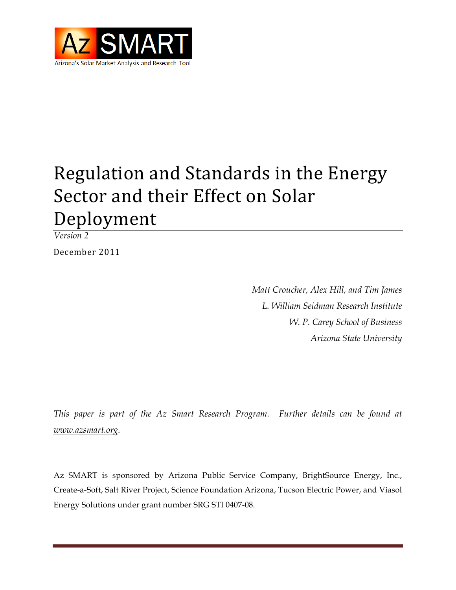

# Regulation and Standards in the Energy Sector and their Effect on Solar Deployment

*Version 2*

December 2011

*Matt Croucher, Alex Hill, and Tim James L. William Seidman Research Institute W. P. Carey School of Business Arizona State University*

*This paper is part of the Az Smart Research Program. Further details can be found at www.azsmart.org.*

Az SMART is sponsored by Arizona Public Service Company, BrightSource Energy, Inc., Create-a-Soft, Salt River Project, Science Foundation Arizona, Tucson Electric Power, and Viasol Energy Solutions under grant number SRG STI 0407-08.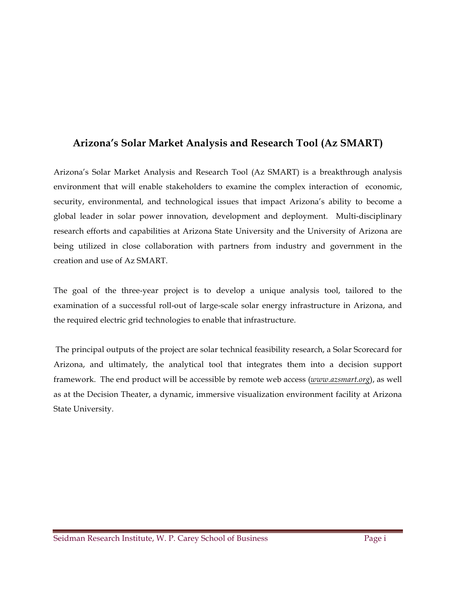## **Arizona's Solar Market Analysis and Research Tool (Az SMART)**

Arizona's Solar Market Analysis and Research Tool (Az SMART) is a breakthrough analysis environment that will enable stakeholders to examine the complex interaction of economic, security, environmental, and technological issues that impact Arizona's ability to become a global leader in solar power innovation, development and deployment. Multi-disciplinary research efforts and capabilities at Arizona State University and the University of Arizona are being utilized in close collaboration with partners from industry and government in the creation and use of Az SMART.

The goal of the three-year project is to develop a unique analysis tool, tailored to the examination of a successful roll-out of large-scale solar energy infrastructure in Arizona, and the required electric grid technologies to enable that infrastructure.

The principal outputs of the project are solar technical feasibility research, a Solar Scorecard for Arizona, and ultimately, the analytical tool that integrates them into a decision support framework. The end product will be accessible by remote web access (*www.azsmart.org*), as well as at the Decision Theater, a dynamic, immersive visualization environment facility at Arizona State University.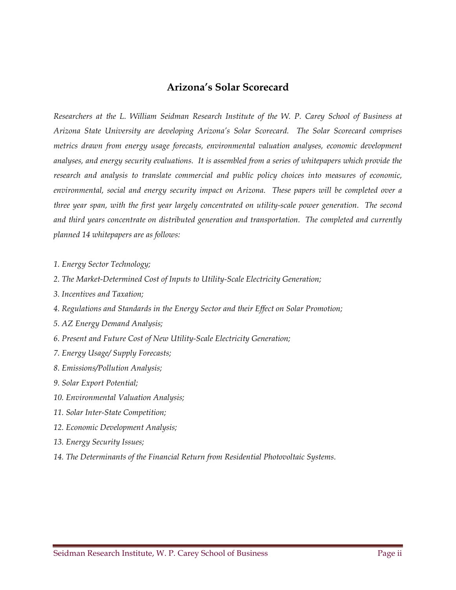## **Arizona's Solar Scorecard**

*Researchers at the L. William Seidman Research Institute of the W. P. Carey School of Business at Arizona State University are developing Arizona's Solar Scorecard. The Solar Scorecard comprises metrics drawn from energy usage forecasts, environmental valuation analyses, economic development analyses, and energy security evaluations. It is assembled from a series of whitepapers which provide the research and analysis to translate commercial and public policy choices into measures of economic, environmental, social and energy security impact on Arizona. These papers will be completed over a three year span, with the first year largely concentrated on utility-scale power generation. The second and third years concentrate on distributed generation and transportation. The completed and currently planned 14 whitepapers are as follows:*

- *1. Energy Sector Technology;*
- *2. The Market-Determined Cost of Inputs to Utility-Scale Electricity Generation;*
- *3. Incentives and Taxation;*
- *4. Regulations and Standards in the Energy Sector and their Effect on Solar Promotion;*
- *5. AZ Energy Demand Analysis;*
- *6. Present and Future Cost of New Utility-Scale Electricity Generation;*
- *7. Energy Usage/ Supply Forecasts;*
- *8. Emissions/Pollution Analysis;*
- *9. Solar Export Potential;*
- *10. Environmental Valuation Analysis;*
- *11. Solar Inter-State Competition;*
- *12. Economic Development Analysis;*
- *13. Energy Security Issues;*
- *14. The Determinants of the Financial Return from Residential Photovoltaic Systems.*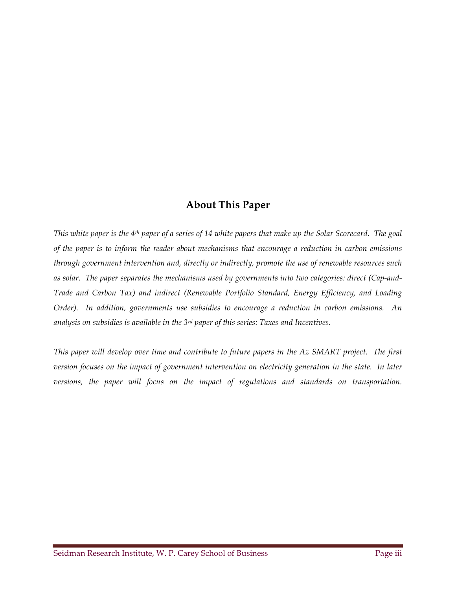## **About This Paper**

*This white paper is the 4th paper of a series of 14 white papers that make up the Solar Scorecard. The goal of the paper is to inform the reader about mechanisms that encourage a reduction in carbon emissions through government intervention and, directly or indirectly, promote the use of renewable resources such as solar. The paper separates the mechanisms used by governments into two categories: direct (Cap-and-Trade and Carbon Tax) and indirect (Renewable Portfolio Standard, Energy Efficiency, and Loading Order). In addition, governments use subsidies to encourage a reduction in carbon emissions. An analysis on subsidies is available in the 3rd paper of this series: Taxes and Incentives.* 

*This paper will develop over time and contribute to future papers in the Az SMART project. The first version focuses on the impact of government intervention on electricity generation in the state. In later versions, the paper will focus on the impact of regulations and standards on transportation.*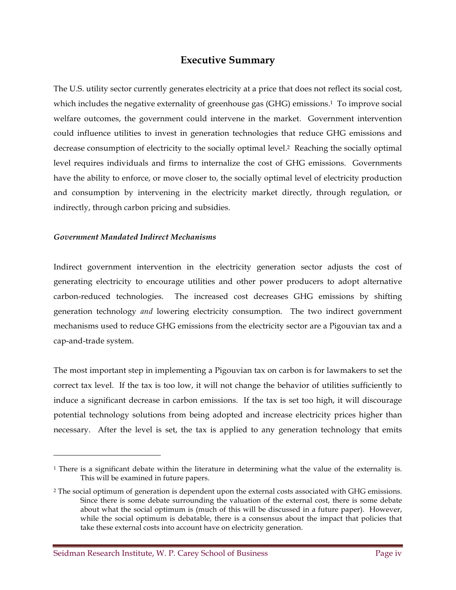## **Executive Summary**

The U.S. utility sector currently generates electricity at a price that does not reflect its social cost, which includes the negative externality of greenhouse gas (GHG) emissions.<sup>1</sup> To improve social welfare outcomes, the government could intervene in the market. Government intervention could influence utilities to invest in generation technologies that reduce GHG emissions and decrease consumption of electricity to the socially optimal level.2 Reaching the socially optimal level requires individuals and firms to internalize the cost of GHG emissions. Governments have the ability to enforce, or move closer to, the socially optimal level of electricity production and consumption by intervening in the electricity market directly, through regulation, or indirectly, through carbon pricing and subsidies.

#### *Government Mandated Indirect Mechanisms*

1

Indirect government intervention in the electricity generation sector adjusts the cost of generating electricity to encourage utilities and other power producers to adopt alternative carbon-reduced technologies. The increased cost decreases GHG emissions by shifting generation technology *and* lowering electricity consumption. The two indirect government mechanisms used to reduce GHG emissions from the electricity sector are a Pigouvian tax and a cap-and-trade system.

The most important step in implementing a Pigouvian tax on carbon is for lawmakers to set the correct tax level. If the tax is too low, it will not change the behavior of utilities sufficiently to induce a significant decrease in carbon emissions. If the tax is set too high, it will discourage potential technology solutions from being adopted and increase electricity prices higher than necessary. After the level is set, the tax is applied to any generation technology that emits

 $1$  There is a significant debate within the literature in determining what the value of the externality is. This will be examined in future papers.

<sup>2</sup> The social optimum of generation is dependent upon the external costs associated with GHG emissions. Since there is some debate surrounding the valuation of the external cost, there is some debate about what the social optimum is (much of this will be discussed in a future paper). However, while the social optimum is debatable, there is a consensus about the impact that policies that take these external costs into account have on electricity generation.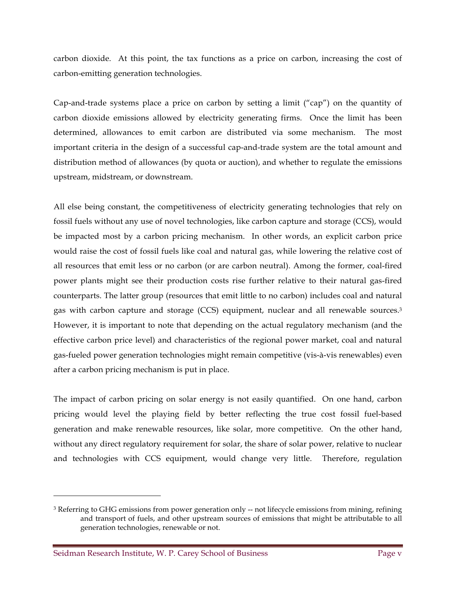carbon dioxide. At this point, the tax functions as a price on carbon, increasing the cost of carbon-emitting generation technologies.

Cap-and-trade systems place a price on carbon by setting a limit ("cap") on the quantity of carbon dioxide emissions allowed by electricity generating firms. Once the limit has been determined, allowances to emit carbon are distributed via some mechanism. The most important criteria in the design of a successful cap-and-trade system are the total amount and distribution method of allowances (by quota or auction), and whether to regulate the emissions upstream, midstream, or downstream.

All else being constant, the competitiveness of electricity generating technologies that rely on fossil fuels without any use of novel technologies, like carbon capture and storage (CCS), would be impacted most by a carbon pricing mechanism. In other words, an explicit carbon price would raise the cost of fossil fuels like coal and natural gas, while lowering the relative cost of all resources that emit less or no carbon (or are carbon neutral). Among the former, coal-fired power plants might see their production costs rise further relative to their natural gas-fired counterparts. The latter group (resources that emit little to no carbon) includes coal and natural gas with carbon capture and storage (CCS) equipment, nuclear and all renewable sources.3 However, it is important to note that depending on the actual regulatory mechanism (and the effective carbon price level) and characteristics of the regional power market, coal and natural gas-fueled power generation technologies might remain competitive (vis-à-vis renewables) even after a carbon pricing mechanism is put in place.

The impact of carbon pricing on solar energy is not easily quantified. On one hand, carbon pricing would level the playing field by better reflecting the true cost fossil fuel-based generation and make renewable resources, like solar, more competitive. On the other hand, without any direct regulatory requirement for solar, the share of solar power, relative to nuclear and technologies with CCS equipment, would change very little. Therefore, regulation

 $\ddot{ }$ 

<sup>3</sup> Referring to GHG emissions from power generation only -- not lifecycle emissions from mining, refining and transport of fuels, and other upstream sources of emissions that might be attributable to all generation technologies, renewable or not.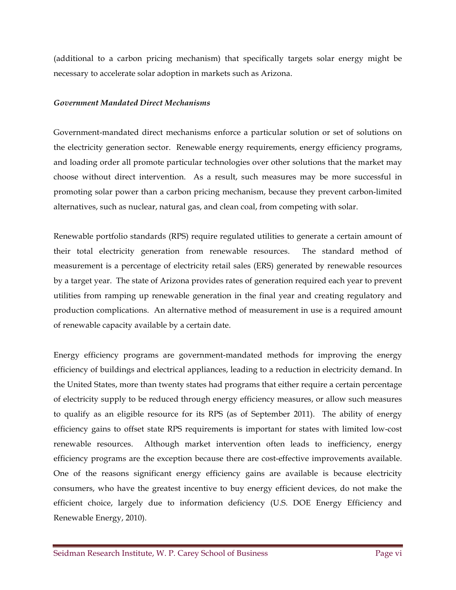(additional to a carbon pricing mechanism) that specifically targets solar energy might be necessary to accelerate solar adoption in markets such as Arizona.

#### *Government Mandated Direct Mechanisms*

Government-mandated direct mechanisms enforce a particular solution or set of solutions on the electricity generation sector. Renewable energy requirements, energy efficiency programs, and loading order all promote particular technologies over other solutions that the market may choose without direct intervention. As a result, such measures may be more successful in promoting solar power than a carbon pricing mechanism, because they prevent carbon-limited alternatives, such as nuclear, natural gas, and clean coal, from competing with solar.

Renewable portfolio standards (RPS) require regulated utilities to generate a certain amount of their total electricity generation from renewable resources. The standard method of measurement is a percentage of electricity retail sales (ERS) generated by renewable resources by a target year. The state of Arizona provides rates of generation required each year to prevent utilities from ramping up renewable generation in the final year and creating regulatory and production complications. An alternative method of measurement in use is a required amount of renewable capacity available by a certain date.

Energy efficiency programs are government-mandated methods for improving the energy efficiency of buildings and electrical appliances, leading to a reduction in electricity demand. In the United States, more than twenty states had programs that either require a certain percentage of electricity supply to be reduced through energy efficiency measures, or allow such measures to qualify as an eligible resource for its RPS (as of September 2011). The ability of energy efficiency gains to offset state RPS requirements is important for states with limited low-cost renewable resources. Although market intervention often leads to inefficiency, energy efficiency programs are the exception because there are cost-effective improvements available. One of the reasons significant energy efficiency gains are available is because electricity consumers, who have the greatest incentive to buy energy efficient devices, do not make the efficient choice, largely due to information deficiency (U.S. DOE Energy Efficiency and Renewable Energy, 2010).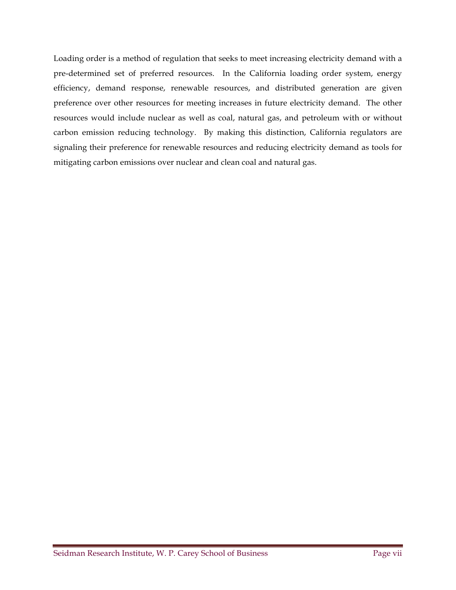Loading order is a method of regulation that seeks to meet increasing electricity demand with a pre-determined set of preferred resources. In the California loading order system, energy efficiency, demand response, renewable resources, and distributed generation are given preference over other resources for meeting increases in future electricity demand. The other resources would include nuclear as well as coal, natural gas, and petroleum with or without carbon emission reducing technology. By making this distinction, California regulators are signaling their preference for renewable resources and reducing electricity demand as tools for mitigating carbon emissions over nuclear and clean coal and natural gas.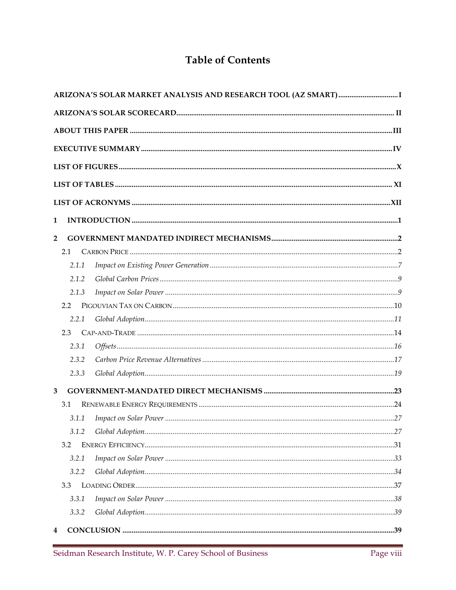## **Table of Contents**

| 1                       |       |                                                                                                                                                                                                                                                                                                                                                                                         |  |  |  |  |
|-------------------------|-------|-----------------------------------------------------------------------------------------------------------------------------------------------------------------------------------------------------------------------------------------------------------------------------------------------------------------------------------------------------------------------------------------|--|--|--|--|
| 2                       |       |                                                                                                                                                                                                                                                                                                                                                                                         |  |  |  |  |
|                         | 2.1   |                                                                                                                                                                                                                                                                                                                                                                                         |  |  |  |  |
|                         | 2.1.1 |                                                                                                                                                                                                                                                                                                                                                                                         |  |  |  |  |
|                         | 2.1.2 |                                                                                                                                                                                                                                                                                                                                                                                         |  |  |  |  |
|                         | 2.1.3 |                                                                                                                                                                                                                                                                                                                                                                                         |  |  |  |  |
|                         | 2.2   |                                                                                                                                                                                                                                                                                                                                                                                         |  |  |  |  |
|                         | 2.2.1 |                                                                                                                                                                                                                                                                                                                                                                                         |  |  |  |  |
|                         | 2.3   |                                                                                                                                                                                                                                                                                                                                                                                         |  |  |  |  |
|                         | 2.3.1 | $\label{thm:opt2} \textit{Offsets} \textit{} \textit{} \textit{} \textit{} \textit{} \textit{} \textit{} \textit{} \textit{} \textit{} \textit{} \textit{} \textit{} \textit{} \textit{} \textit{} \textit{} \textit{} \textit{} \textit{} \textit{} \textit{} \textit{} \textit{} \textit{} \textit{} \textit{} \textit{} \textit{} \textit{} \textit{} \textit{} \textit{} \textit{}$ |  |  |  |  |
|                         | 2.3.2 |                                                                                                                                                                                                                                                                                                                                                                                         |  |  |  |  |
|                         | 2.3.3 |                                                                                                                                                                                                                                                                                                                                                                                         |  |  |  |  |
| 3                       |       |                                                                                                                                                                                                                                                                                                                                                                                         |  |  |  |  |
|                         | 3.1   |                                                                                                                                                                                                                                                                                                                                                                                         |  |  |  |  |
|                         | 3.1.1 |                                                                                                                                                                                                                                                                                                                                                                                         |  |  |  |  |
|                         | 3.1.2 |                                                                                                                                                                                                                                                                                                                                                                                         |  |  |  |  |
|                         | 3.2   |                                                                                                                                                                                                                                                                                                                                                                                         |  |  |  |  |
|                         | 3.2.1 |                                                                                                                                                                                                                                                                                                                                                                                         |  |  |  |  |
|                         | 3.2.2 |                                                                                                                                                                                                                                                                                                                                                                                         |  |  |  |  |
|                         | 3.3   |                                                                                                                                                                                                                                                                                                                                                                                         |  |  |  |  |
|                         | 3.3.1 |                                                                                                                                                                                                                                                                                                                                                                                         |  |  |  |  |
|                         | 3.3.2 |                                                                                                                                                                                                                                                                                                                                                                                         |  |  |  |  |
| $\overline{\mathbf{4}}$ |       |                                                                                                                                                                                                                                                                                                                                                                                         |  |  |  |  |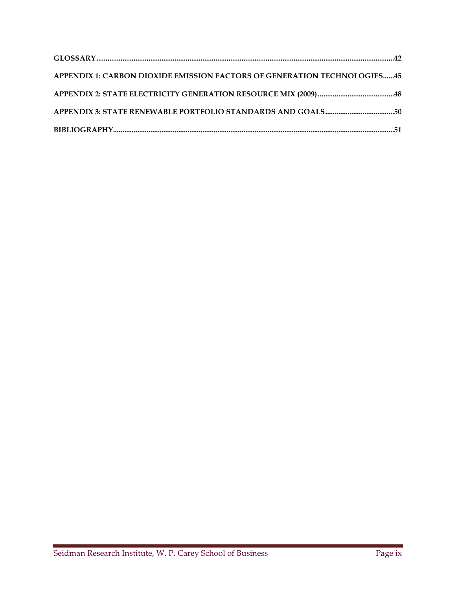| APPENDIX 1: CARBON DIOXIDE EMISSION FACTORS OF GENERATION TECHNOLOGIES45 |  |
|--------------------------------------------------------------------------|--|
|                                                                          |  |
|                                                                          |  |
|                                                                          |  |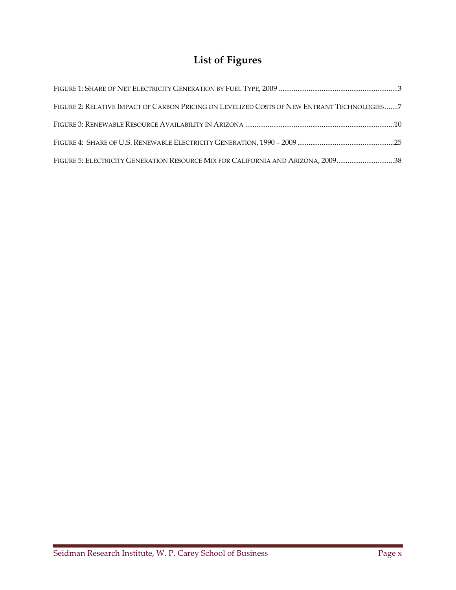## **List of Figures**

| FIGURE 2: RELATIVE IMPACT OF CARBON PRICING ON LEVELIZED COSTS OF NEW ENTRANT TECHNOLOGIES 7 |  |
|----------------------------------------------------------------------------------------------|--|
|                                                                                              |  |
|                                                                                              |  |
| FIGURE 5: ELECTRICITY GENERATION RESOURCE MIX FOR CALIFORNIA AND ARIZONA, 200938             |  |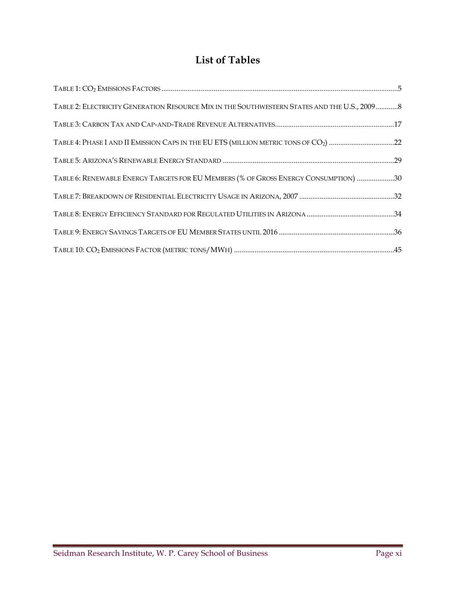## **List of Tables**

| TABLE 2: ELECTRICITY GENERATION RESOURCE MIX IN THE SOUTHWESTERN STATES AND THE U.S., 20098      |  |
|--------------------------------------------------------------------------------------------------|--|
|                                                                                                  |  |
| TABLE 4: PHASE I AND II EMISSION CAPS IN THE EU ETS (MILLION METRIC TONS OF CO <sub>2</sub> ) 22 |  |
|                                                                                                  |  |
| TABLE 6: RENEWABLE ENERGY TARGETS FOR EU MEMBERS (% OF GROSS ENERGY CONSUMPTION) 30              |  |
|                                                                                                  |  |
|                                                                                                  |  |
|                                                                                                  |  |
|                                                                                                  |  |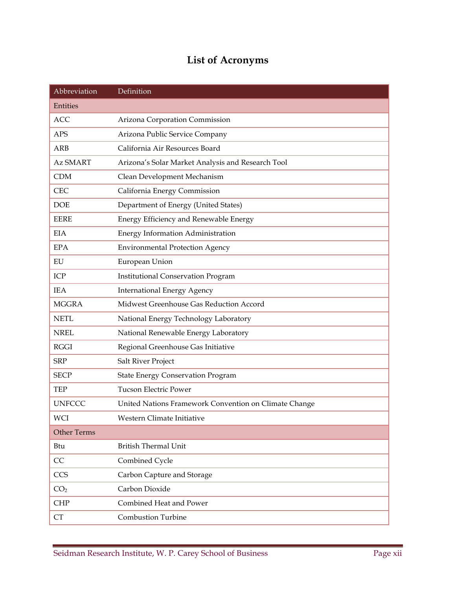## **List of Acronyms**

| Abbreviation       | Definition                                            |
|--------------------|-------------------------------------------------------|
| Entities           |                                                       |
| <b>ACC</b>         | Arizona Corporation Commission                        |
| <b>APS</b>         | Arizona Public Service Company                        |
| <b>ARB</b>         | California Air Resources Board                        |
| Az SMART           | Arizona's Solar Market Analysis and Research Tool     |
| <b>CDM</b>         | Clean Development Mechanism                           |
| <b>CEC</b>         | California Energy Commission                          |
| <b>DOE</b>         | Department of Energy (United States)                  |
| <b>EERE</b>        | Energy Efficiency and Renewable Energy                |
| EIA                | Energy Information Administration                     |
| <b>EPA</b>         | <b>Environmental Protection Agency</b>                |
| EU                 | European Union                                        |
| ICP                | <b>Institutional Conservation Program</b>             |
| <b>IEA</b>         | <b>International Energy Agency</b>                    |
| <b>MGGRA</b>       | Midwest Greenhouse Gas Reduction Accord               |
| <b>NETL</b>        | National Energy Technology Laboratory                 |
| <b>NREL</b>        | National Renewable Energy Laboratory                  |
| <b>RGGI</b>        | Regional Greenhouse Gas Initiative                    |
| <b>SRP</b>         | Salt River Project                                    |
| <b>SECP</b>        | <b>State Energy Conservation Program</b>              |
| <b>TEP</b>         | <b>Tucson Electric Power</b>                          |
| <b>UNFCCC</b>      | United Nations Framework Convention on Climate Change |
| WCI                | Western Climate Initiative                            |
| <b>Other Terms</b> |                                                       |
| Btu                | <b>British Thermal Unit</b>                           |
| CC                 | Combined Cycle                                        |
| CCS                | Carbon Capture and Storage                            |
| CO <sub>2</sub>    | Carbon Dioxide                                        |
| <b>CHP</b>         | Combined Heat and Power                               |
| ${\cal C}{\cal T}$ | Combustion Turbine                                    |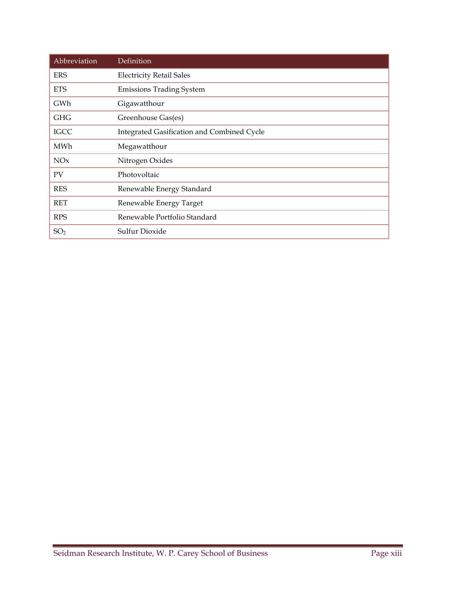| Abbreviation    | Definition                                 |
|-----------------|--------------------------------------------|
| <b>ERS</b>      | <b>Electricity Retail Sales</b>            |
| <b>ETS</b>      | <b>Emissions Trading System</b>            |
| GWh             | Gigawatthour                               |
| <b>GHG</b>      | Greenhouse Gas(es)                         |
| <b>IGCC</b>     | Integrated Gasification and Combined Cycle |
| MWh             | Megawatthour                               |
| NO <sub>x</sub> | Nitrogen Oxides                            |
| PV              | Photovoltaic                               |
| <b>RES</b>      | Renewable Energy Standard                  |
| <b>RET</b>      | Renewable Energy Target                    |
| <b>RPS</b>      | Renewable Portfolio Standard               |
| SO <sub>2</sub> | Sulfur Dioxide                             |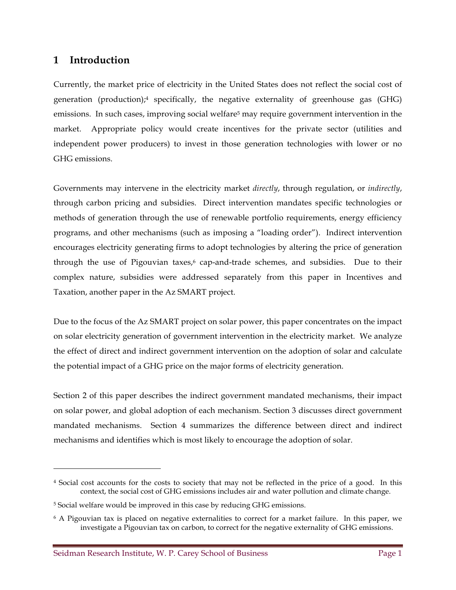## **1 Introduction**

 $\ddot{ }$ 

Currently, the market price of electricity in the United States does not reflect the social cost of generation (production);<sup>4</sup> specifically, the negative externality of greenhouse gas (GHG) emissions. In such cases, improving social welfare<sup>5</sup> may require government intervention in the market. Appropriate policy would create incentives for the private sector (utilities and independent power producers) to invest in those generation technologies with lower or no GHG emissions.

Governments may intervene in the electricity market *directly*, through regulation, or *indirectly*, through carbon pricing and subsidies. Direct intervention mandates specific technologies or methods of generation through the use of renewable portfolio requirements, energy efficiency programs, and other mechanisms (such as imposing a "loading order"). Indirect intervention encourages electricity generating firms to adopt technologies by altering the price of generation through the use of Pigouvian taxes, $6$  cap-and-trade schemes, and subsidies. Due to their complex nature, subsidies were addressed separately from this paper in Incentives and Taxation, another paper in the Az SMART project.

Due to the focus of the Az SMART project on solar power, this paper concentrates on the impact on solar electricity generation of government intervention in the electricity market. We analyze the effect of direct and indirect government intervention on the adoption of solar and calculate the potential impact of a GHG price on the major forms of electricity generation.

Section 2 of this paper describes the indirect government mandated mechanisms, their impact on solar power, and global adoption of each mechanism. Section 3 discusses direct government mandated mechanisms. Section 4 summarizes the difference between direct and indirect mechanisms and identifies which is most likely to encourage the adoption of solar.

<sup>4</sup> Social cost accounts for the costs to society that may not be reflected in the price of a good. In this context, the social cost of GHG emissions includes air and water pollution and climate change.

<sup>5</sup> Social welfare would be improved in this case by reducing GHG emissions.

<sup>6</sup> A Pigouvian tax is placed on negative externalities to correct for a market failure. In this paper, we investigate a Pigouvian tax on carbon, to correct for the negative externality of GHG emissions.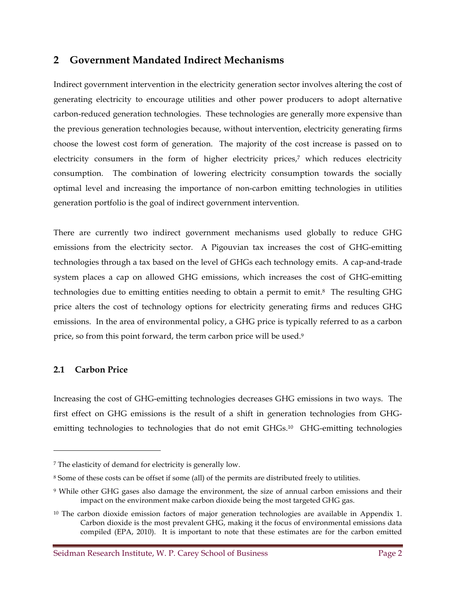## **2 Government Mandated Indirect Mechanisms**

Indirect government intervention in the electricity generation sector involves altering the cost of generating electricity to encourage utilities and other power producers to adopt alternative carbon-reduced generation technologies. These technologies are generally more expensive than the previous generation technologies because, without intervention, electricity generating firms choose the lowest cost form of generation. The majority of the cost increase is passed on to electricity consumers in the form of higher electricity prices,7 which reduces electricity consumption. The combination of lowering electricity consumption towards the socially optimal level and increasing the importance of non-carbon emitting technologies in utilities generation portfolio is the goal of indirect government intervention.

There are currently two indirect government mechanisms used globally to reduce GHG emissions from the electricity sector. A Pigouvian tax increases the cost of GHG-emitting technologies through a tax based on the level of GHGs each technology emits. A cap-and-trade system places a cap on allowed GHG emissions, which increases the cost of GHG-emitting technologies due to emitting entities needing to obtain a permit to emit.8 The resulting GHG price alters the cost of technology options for electricity generating firms and reduces GHG emissions. In the area of environmental policy, a GHG price is typically referred to as a carbon price, so from this point forward, the term carbon price will be used.9

## **2.1 Carbon Price**

1

Increasing the cost of GHG-emitting technologies decreases GHG emissions in two ways. The first effect on GHG emissions is the result of a shift in generation technologies from GHGemitting technologies to technologies that do not emit GHGs.<sup>10</sup> GHG-emitting technologies

<sup>7</sup> The elasticity of demand for electricity is generally low.

<sup>8</sup> Some of these costs can be offset if some (all) of the permits are distributed freely to utilities.

<sup>9</sup> While other GHG gases also damage the environment, the size of annual carbon emissions and their impact on the environment make carbon dioxide being the most targeted GHG gas.

<sup>10</sup> The carbon dioxide emission factors of major generation technologies are available in Appendix 1. Carbon dioxide is the most prevalent GHG, making it the focus of environmental emissions data compiled (EPA, 2010). It is important to note that these estimates are for the carbon emitted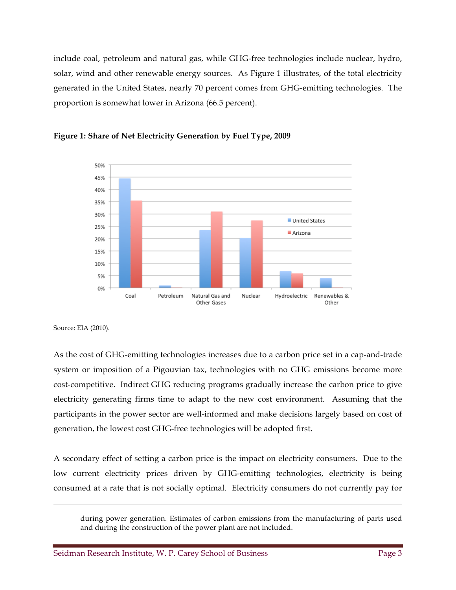include coal, petroleum and natural gas, while GHG-free technologies include nuclear, hydro, solar, wind and other renewable energy sources. As Figure 1 illustrates, of the total electricity generated in the United States, nearly 70 percent comes from GHG-emitting technologies. The proportion is somewhat lower in Arizona (66.5 percent).





 $\overline{a}$ 

As the cost of GHG-emitting technologies increases due to a carbon price set in a cap-and-trade system or imposition of a Pigouvian tax, technologies with no GHG emissions become more cost-competitive. Indirect GHG reducing programs gradually increase the carbon price to give electricity generating firms time to adapt to the new cost environment. Assuming that the participants in the power sector are well-informed and make decisions largely based on cost of generation, the lowest cost GHG-free technologies will be adopted first.

A secondary effect of setting a carbon price is the impact on electricity consumers. Due to the low current electricity prices driven by GHG-emitting technologies, electricity is being consumed at a rate that is not socially optimal. Electricity consumers do not currently pay for

Source: EIA (2010).

during power generation. Estimates of carbon emissions from the manufacturing of parts used and during the construction of the power plant are not included.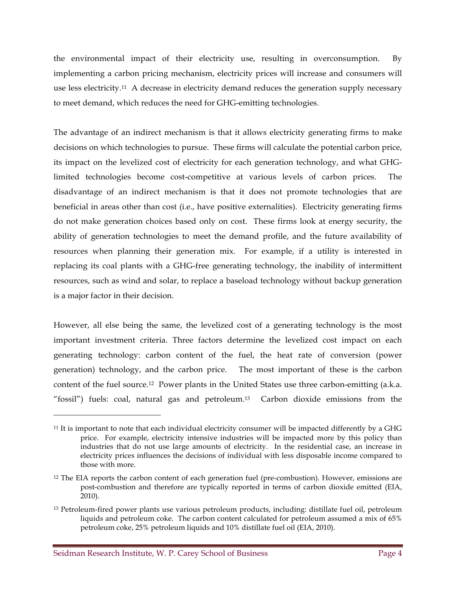the environmental impact of their electricity use, resulting in overconsumption. By implementing a carbon pricing mechanism, electricity prices will increase and consumers will use less electricity.11 A decrease in electricity demand reduces the generation supply necessary to meet demand, which reduces the need for GHG-emitting technologies.

The advantage of an indirect mechanism is that it allows electricity generating firms to make decisions on which technologies to pursue. These firms will calculate the potential carbon price, its impact on the levelized cost of electricity for each generation technology, and what GHGlimited technologies become cost-competitive at various levels of carbon prices. The disadvantage of an indirect mechanism is that it does not promote technologies that are beneficial in areas other than cost (i.e., have positive externalities). Electricity generating firms do not make generation choices based only on cost. These firms look at energy security, the ability of generation technologies to meet the demand profile, and the future availability of resources when planning their generation mix. For example, if a utility is interested in replacing its coal plants with a GHG-free generating technology, the inability of intermittent resources, such as wind and solar, to replace a baseload technology without backup generation is a major factor in their decision.

However, all else being the same, the levelized cost of a generating technology is the most important investment criteria. Three factors determine the levelized cost impact on each generating technology: carbon content of the fuel, the heat rate of conversion (power generation) technology, and the carbon price. The most important of these is the carbon content of the fuel source.12 Power plants in the United States use three carbon-emitting (a.k.a. "fossil") fuels: coal, natural gas and petroleum.13 Carbon dioxide emissions from the

1

 $11$  It is important to note that each individual electricity consumer will be impacted differently by a GHG price. For example, electricity intensive industries will be impacted more by this policy than industries that do not use large amounts of electricity. In the residential case, an increase in electricity prices influences the decisions of individual with less disposable income compared to those with more.

<sup>12</sup> The EIA reports the carbon content of each generation fuel (pre-combustion). However, emissions are post-combustion and therefore are typically reported in terms of carbon dioxide emitted (EIA, 2010).

<sup>13</sup> Petroleum-fired power plants use various petroleum products, including: distillate fuel oil, petroleum liquids and petroleum coke. The carbon content calculated for petroleum assumed a mix of 65% petroleum coke, 25% petroleum liquids and 10% distillate fuel oil (EIA, 2010).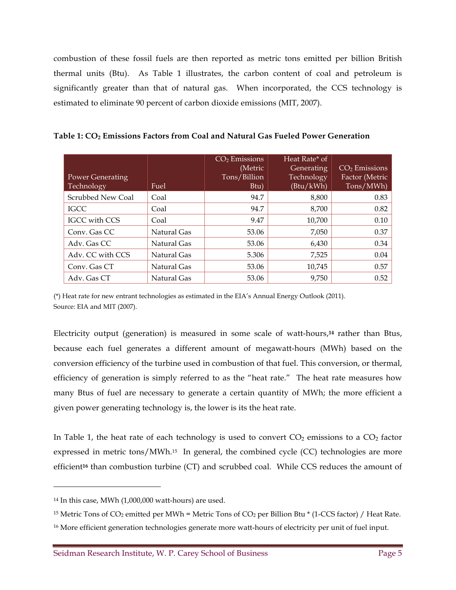combustion of these fossil fuels are then reported as metric tons emitted per billion British thermal units (Btu). As Table 1 illustrates, the carbon content of coal and petroleum is significantly greater than that of natural gas. When incorporated, the CCS technology is estimated to eliminate 90 percent of carbon dioxide emissions (MIT, 2007).

| <b>Power Generating</b><br>Technology | Fuel        | $CO2$ Emissions<br>(Metric<br>Tons/Billion<br>Btu) | Heat Rate* of<br>Generating<br>Technology<br>(Btu/kWh) | $CO2$ Emissions<br>Factor (Metric<br>Tons/MWh) |
|---------------------------------------|-------------|----------------------------------------------------|--------------------------------------------------------|------------------------------------------------|
| Scrubbed New Coal                     | Coal        | 94.7                                               | 8,800                                                  | 0.83                                           |
| <b>IGCC</b>                           | Coal        | 94.7                                               | 8,700                                                  | 0.82                                           |
| <b>IGCC</b> with CCS                  | Coal        | 9.47                                               | 10,700                                                 | 0.10                                           |
| Conv. Gas CC                          | Natural Gas | 53.06                                              | 7,050                                                  | 0.37                                           |
| Adv. Gas CC                           | Natural Gas | 53.06                                              | 6,430                                                  | 0.34                                           |
| Adv. CC with CCS                      | Natural Gas | 5.306                                              | 7,525                                                  | 0.04                                           |
| Conv. Gas CT                          | Natural Gas | 53.06                                              | 10,745                                                 | 0.57                                           |
| Adv. Gas CT                           | Natural Gas | 53.06                                              | 9,750                                                  | 0.52                                           |

**Table 1: CO2 Emissions Factors from Coal and Natural Gas Fueled Power Generation**

(\*) Heat rate for new entrant technologies as estimated in the EIA's Annual Energy Outlook (2011). Source: EIA and MIT (2007).

Electricity output (generation) is measured in some scale of watt-hours,**<sup>14</sup>** rather than Btus, because each fuel generates a different amount of megawatt-hours (MWh) based on the conversion efficiency of the turbine used in combustion of that fuel. This conversion, or thermal, efficiency of generation is simply referred to as the "heat rate." The heat rate measures how many Btus of fuel are necessary to generate a certain quantity of MWh; the more efficient a given power generating technology is, the lower is its the heat rate.

In Table 1, the heat rate of each technology is used to convert  $CO_2$  emissions to a  $CO_2$  factor expressed in metric tons/MWh.15 In general, the combined cycle (CC) technologies are more efficient**<sup>16</sup>** than combustion turbine (CT) and scrubbed coal. While CCS reduces the amount of

 $\ddot{ }$ 

<sup>14</sup> In this case, MWh (1,000,000 watt-hours) are used.

<sup>&</sup>lt;sup>15</sup> Metric Tons of CO<sub>2</sub> emitted per MWh = Metric Tons of CO<sub>2</sub> per Billion Btu \* (1-CCS factor) / Heat Rate.

<sup>16</sup> More efficient generation technologies generate more watt-hours of electricity per unit of fuel input.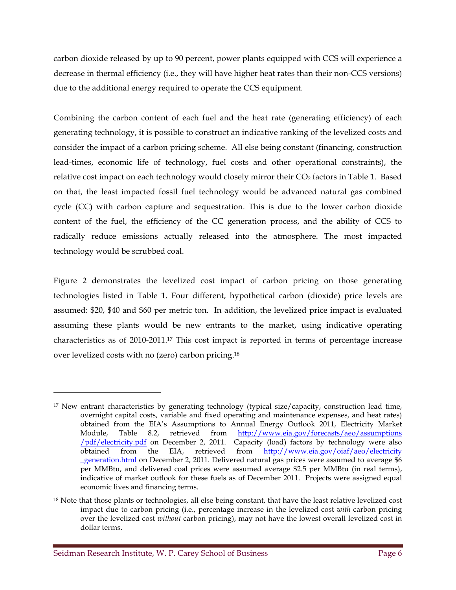carbon dioxide released by up to 90 percent, power plants equipped with CCS will experience a decrease in thermal efficiency (i.e., they will have higher heat rates than their non-CCS versions) due to the additional energy required to operate the CCS equipment.

Combining the carbon content of each fuel and the heat rate (generating efficiency) of each generating technology, it is possible to construct an indicative ranking of the levelized costs and consider the impact of a carbon pricing scheme. All else being constant (financing, construction lead-times, economic life of technology, fuel costs and other operational constraints), the relative cost impact on each technology would closely mirror their  $CO<sub>2</sub>$  factors in Table 1. Based on that, the least impacted fossil fuel technology would be advanced natural gas combined cycle (CC) with carbon capture and sequestration. This is due to the lower carbon dioxide content of the fuel, the efficiency of the CC generation process, and the ability of CCS to radically reduce emissions actually released into the atmosphere. The most impacted technology would be scrubbed coal.

Figure 2 demonstrates the levelized cost impact of carbon pricing on those generating technologies listed in Table 1. Four different, hypothetical carbon (dioxide) price levels are assumed: \$20, \$40 and \$60 per metric ton. In addition, the levelized price impact is evaluated assuming these plants would be new entrants to the market, using indicative operating characteristics as of 2010-2011.17 This cost impact is reported in terms of percentage increase over levelized costs with no (zero) carbon pricing.18

 $\overline{a}$ 

<sup>&</sup>lt;sup>17</sup> New entrant characteristics by generating technology (typical size/capacity, construction lead time, overnight capital costs, variable and fixed operating and maintenance expenses, and heat rates) obtained from the EIA's Assumptions to Annual Energy Outlook 2011, Electricity Market Module, Table 8.2, retrieved from http://www.eia.gov/forecasts/aeo/assumptions /pdf/electricity.pdf on December 2, 2011. Capacity (load) factors by technology were also obtained from the EIA, retrieved from http://www.eia.gov/oiaf/aeo/electricity generation.html on December 2, 2011. Delivered natural gas prices were assumed to average \$6 per MMBtu, and delivered coal prices were assumed average \$2.5 per MMBtu (in real terms), indicative of market outlook for these fuels as of December 2011. Projects were assigned equal economic lives and financing terms.

<sup>&</sup>lt;sup>18</sup> Note that those plants or technologies, all else being constant, that have the least relative levelized cost impact due to carbon pricing (i.e., percentage increase in the levelized cost *with* carbon pricing over the levelized cost *without* carbon pricing), may not have the lowest overall levelized cost in dollar terms.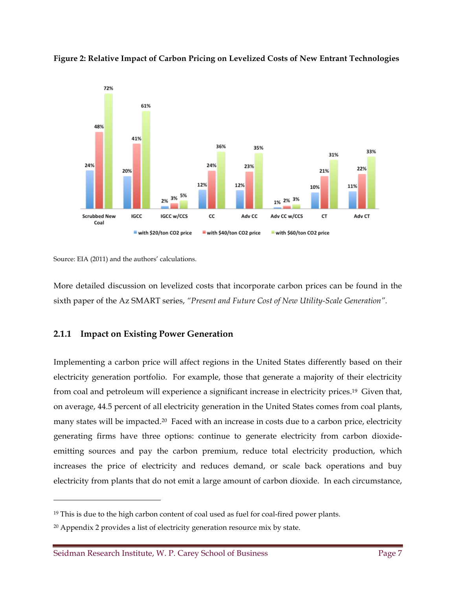

**Figure 2: Relative Impact of Carbon Pricing on Levelized Costs of New Entrant Technologies**

Source: EIA (2011) and the authors' calculations.

More detailed discussion on levelized costs that incorporate carbon prices can be found in the sixth paper of the Az SMART series, *"Present and Future Cost of New Utility-Scale Generation".*

## **2.1.1 Impact on Existing Power Generation**

Implementing a carbon price will affect regions in the United States differently based on their electricity generation portfolio. For example, those that generate a majority of their electricity from coal and petroleum will experience a significant increase in electricity prices.19 Given that, on average, 44.5 percent of all electricity generation in the United States comes from coal plants, many states will be impacted.<sup>20</sup> Faced with an increase in costs due to a carbon price, electricity generating firms have three options: continue to generate electricity from carbon dioxideemitting sources and pay the carbon premium, reduce total electricity production, which increases the price of electricity and reduces demand, or scale back operations and buy electricity from plants that do not emit a large amount of carbon dioxide. In each circumstance,

 $\overline{a}$ 

<sup>&</sup>lt;sup>19</sup> This is due to the high carbon content of coal used as fuel for coal-fired power plants.

<sup>20</sup> Appendix 2 provides a list of electricity generation resource mix by state.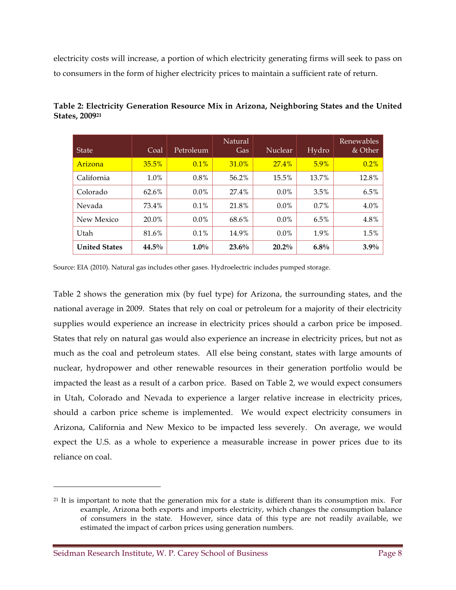electricity costs will increase, a portion of which electricity generating firms will seek to pass on to consumers in the form of higher electricity prices to maintain a sufficient rate of return.

| <b>State</b>         | Coal     | Petroleum | <b>Natural</b><br>Gas | Nuclear  | Hydro   | Renewables<br>& Other |
|----------------------|----------|-----------|-----------------------|----------|---------|-----------------------|
| Arizona              | 35.5%    | $0.1\%$   | 31.0%                 | 27.4%    | 5.9%    | $0.2\%$               |
| California           | 1.0%     | 0.8%      | 56.2%                 | 15.5%    | 13.7%   | 12.8%                 |
| Colorado             | 62.6%    | $0.0\%$   | $27.4\%$              | $0.0\%$  | 3.5%    | 6.5%                  |
| Nevada               | 73.4%    | $0.1\%$   | 21.8%                 | $0.0\%$  | $0.7\%$ | 4.0%                  |
| New Mexico           | 20.0%    | $0.0\%$   | 68.6%                 | $0.0\%$  | 6.5%    | 4.8%                  |
| Utah                 | 81.6%    | $0.1\%$   | 14.9%                 | $0.0\%$  | 1.9%    | 1.5%                  |
| <b>United States</b> | $44.5\%$ | $1.0\%$   | $23.6\%$              | $20.2\%$ | 6.8%    | $3.9\%$               |

**Table 2: Electricity Generation Resource Mix in Arizona, Neighboring States and the United States, 200921**

Source: EIA (2010). Natural gas includes other gases. Hydroelectric includes pumped storage.

Table 2 shows the generation mix (by fuel type) for Arizona, the surrounding states, and the national average in 2009. States that rely on coal or petroleum for a majority of their electricity supplies would experience an increase in electricity prices should a carbon price be imposed. States that rely on natural gas would also experience an increase in electricity prices, but not as much as the coal and petroleum states. All else being constant, states with large amounts of nuclear, hydropower and other renewable resources in their generation portfolio would be impacted the least as a result of a carbon price. Based on Table 2, we would expect consumers in Utah, Colorado and Nevada to experience a larger relative increase in electricity prices, should a carbon price scheme is implemented. We would expect electricity consumers in Arizona, California and New Mexico to be impacted less severely. On average, we would expect the U.S. as a whole to experience a measurable increase in power prices due to its reliance on coal.

 $\ddot{ }$ 

<sup>&</sup>lt;sup>21</sup> It is important to note that the generation mix for a state is different than its consumption mix. For example, Arizona both exports and imports electricity, which changes the consumption balance of consumers in the state. However, since data of this type are not readily available, we estimated the impact of carbon prices using generation numbers.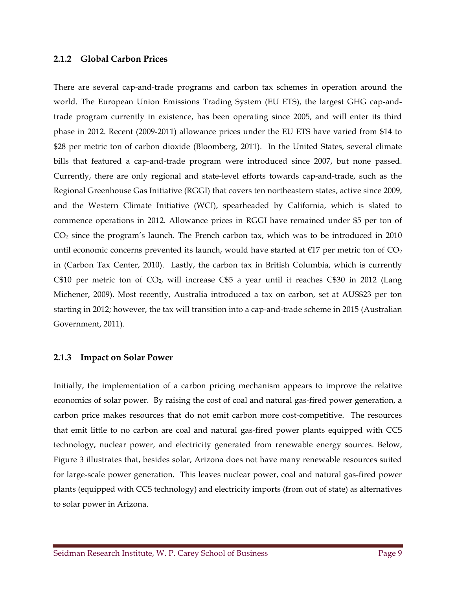#### **2.1.2 Global Carbon Prices**

There are several cap-and-trade programs and carbon tax schemes in operation around the world. The European Union Emissions Trading System (EU ETS), the largest GHG cap-andtrade program currently in existence, has been operating since 2005, and will enter its third phase in 2012. Recent (2009-2011) allowance prices under the EU ETS have varied from \$14 to \$28 per metric ton of carbon dioxide (Bloomberg, 2011). In the United States, several climate bills that featured a cap-and-trade program were introduced since 2007, but none passed. Currently, there are only regional and state-level efforts towards cap-and-trade, such as the Regional Greenhouse Gas Initiative (RGGI) that covers ten northeastern states, active since 2009, and the Western Climate Initiative (WCI), spearheaded by California, which is slated to commence operations in 2012. Allowance prices in RGGI have remained under \$5 per ton of CO2 since the program's launch. The French carbon tax, which was to be introduced in 2010 until economic concerns prevented its launch, would have started at  $\epsilon$ 17 per metric ton of CO<sub>2</sub> in (Carbon Tax Center, 2010). Lastly, the carbon tax in British Columbia, which is currently C\$10 per metric ton of  $CO<sub>2</sub>$ , will increase C\$5 a year until it reaches C\$30 in 2012 (Lang Michener, 2009). Most recently, Australia introduced a tax on carbon, set at AUS\$23 per ton starting in 2012; however, the tax will transition into a cap-and-trade scheme in 2015 (Australian Government, 2011).

#### **2.1.3 Impact on Solar Power**

Initially, the implementation of a carbon pricing mechanism appears to improve the relative economics of solar power. By raising the cost of coal and natural gas-fired power generation, a carbon price makes resources that do not emit carbon more cost-competitive. The resources that emit little to no carbon are coal and natural gas-fired power plants equipped with CCS technology, nuclear power, and electricity generated from renewable energy sources. Below, Figure 3 illustrates that, besides solar, Arizona does not have many renewable resources suited for large-scale power generation. This leaves nuclear power, coal and natural gas-fired power plants (equipped with CCS technology) and electricity imports (from out of state) as alternatives to solar power in Arizona.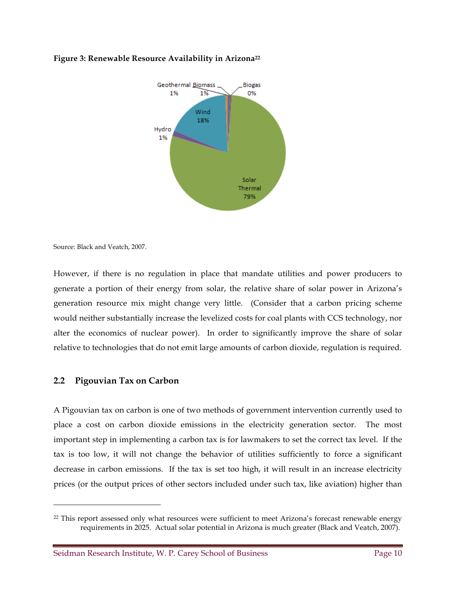

#### **Figure 3: Renewable Resource Availability in Arizona22**

Source: Black and Veatch, 2007.

However, if there is no regulation in place that mandate utilities and power producers to generate a portion of their energy from solar, the relative share of solar power in Arizona's generation resource mix might change very little. (Consider that a carbon pricing scheme would neither substantially increase the levelized costs for coal plants with CCS technology, nor alter the economics of nuclear power). In order to significantly improve the share of solar relative to technologies that do not emit large amounts of carbon dioxide, regulation is required.

## **2.2 Pigouvian Tax on Carbon**

 $\overline{a}$ 

A Pigouvian tax on carbon is one of two methods of government intervention currently used to place a cost on carbon dioxide emissions in the electricity generation sector. The most important step in implementing a carbon tax is for lawmakers to set the correct tax level. If the tax is too low, it will not change the behavior of utilities sufficiently to force a significant decrease in carbon emissions. If the tax is set too high, it will result in an increase electricity prices (or the output prices of other sectors included under such tax, like aviation) higher than

<sup>&</sup>lt;sup>22</sup> This report assessed only what resources were sufficient to meet Arizona's forecast renewable energy requirements in 2025. Actual solar potential in Arizona is much greater (Black and Veatch, 2007).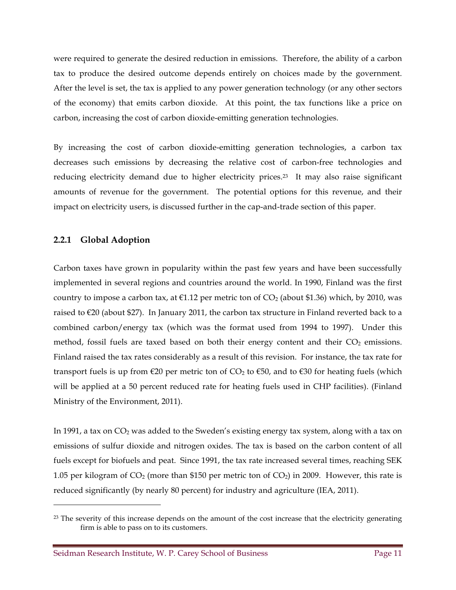were required to generate the desired reduction in emissions. Therefore, the ability of a carbon tax to produce the desired outcome depends entirely on choices made by the government. After the level is set, the tax is applied to any power generation technology (or any other sectors of the economy) that emits carbon dioxide. At this point, the tax functions like a price on carbon, increasing the cost of carbon dioxide-emitting generation technologies.

By increasing the cost of carbon dioxide-emitting generation technologies, a carbon tax decreases such emissions by decreasing the relative cost of carbon-free technologies and reducing electricity demand due to higher electricity prices.23 It may also raise significant amounts of revenue for the government. The potential options for this revenue, and their impact on electricity users, is discussed further in the cap-and-trade section of this paper.

## **2.2.1 Global Adoption**

 $\overline{a}$ 

Carbon taxes have grown in popularity within the past few years and have been successfully implemented in several regions and countries around the world. In 1990, Finland was the first country to impose a carbon tax, at  $\epsilon$ 1.12 per metric ton of CO<sub>2</sub> (about \$1.36) which, by 2010, was raised to  $\epsilon$ 20 (about \$27). In January 2011, the carbon tax structure in Finland reverted back to a combined carbon/energy tax (which was the format used from 1994 to 1997). Under this method, fossil fuels are taxed based on both their energy content and their  $CO<sub>2</sub>$  emissions. Finland raised the tax rates considerably as a result of this revision. For instance, the tax rate for transport fuels is up from  $\epsilon$ 20 per metric ton of CO<sub>2</sub> to  $\epsilon$ 50, and to  $\epsilon$ 30 for heating fuels (which will be applied at a 50 percent reduced rate for heating fuels used in CHP facilities). (Finland Ministry of the Environment, 2011).

In 1991, a tax on  $CO<sub>2</sub>$  was added to the Sweden's existing energy tax system, along with a tax on emissions of sulfur dioxide and nitrogen oxides. The tax is based on the carbon content of all fuels except for biofuels and peat. Since 1991, the tax rate increased several times, reaching SEK 1.05 per kilogram of  $CO_2$  (more than \$150 per metric ton of  $CO_2$ ) in 2009. However, this rate is reduced significantly (by nearly 80 percent) for industry and agriculture (IEA, 2011).

<sup>&</sup>lt;sup>23</sup> The severity of this increase depends on the amount of the cost increase that the electricity generating firm is able to pass on to its customers.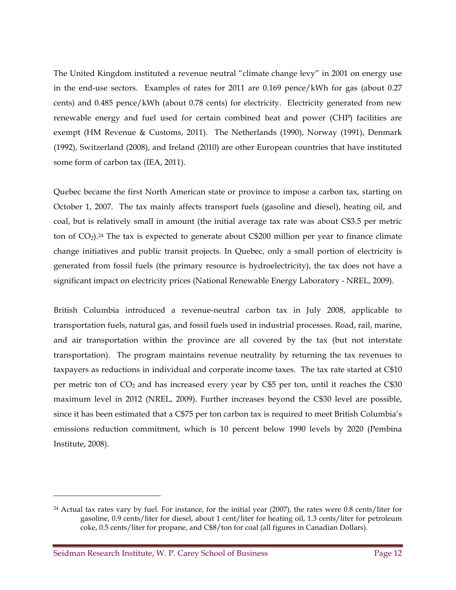The United Kingdom instituted a revenue neutral "climate change levy" in 2001 on energy use in the end-use sectors. Examples of rates for 2011 are 0.169 pence/kWh for gas (about 0.27 cents) and 0.485 pence/kWh (about 0.78 cents) for electricity. Electricity generated from new renewable energy and fuel used for certain combined heat and power (CHP) facilities are exempt (HM Revenue & Customs, 2011). The Netherlands (1990), Norway (1991), Denmark (1992), Switzerland (2008), and Ireland (2010) are other European countries that have instituted some form of carbon tax (IEA, 2011).

Quebec became the first North American state or province to impose a carbon tax, starting on October 1, 2007. The tax mainly affects transport fuels (gasoline and diesel), heating oil, and coal, but is relatively small in amount (the initial average tax rate was about C\$3.5 per metric ton of  $CO<sub>2</sub>$ .<sup>24</sup> The tax is expected to generate about C\$200 million per year to finance climate change initiatives and public transit projects. In Quebec, only a small portion of electricity is generated from fossil fuels (the primary resource is hydroelectricity), the tax does not have a significant impact on electricity prices (National Renewable Energy Laboratory - NREL, 2009).

British Columbia introduced a revenue-neutral carbon tax in July 2008, applicable to transportation fuels, natural gas, and fossil fuels used in industrial processes. Road, rail, marine, and air transportation within the province are all covered by the tax (but not interstate transportation). The program maintains revenue neutrality by returning the tax revenues to taxpayers as reductions in individual and corporate income taxes. The tax rate started at C\$10 per metric ton of  $CO<sub>2</sub>$  and has increased every year by C\$5 per ton, until it reaches the C\$30 maximum level in 2012 (NREL, 2009). Further increases beyond the C\$30 level are possible, since it has been estimated that a C\$75 per ton carbon tax is required to meet British Columbia's emissions reduction commitment, which is 10 percent below 1990 levels by 2020 (Pembina Institute, 2008).

 $\ddot{ }$ 

<sup>24</sup> Actual tax rates vary by fuel. For instance, for the initial year (2007), the rates were 0.8 cents/liter for gasoline, 0.9 cents/liter for diesel, about 1 cent/liter for heating oil, 1.3 cents/liter for petroleum coke, 0.5 cents/liter for propane, and C\$8/ton for coal (all figures in Canadian Dollars).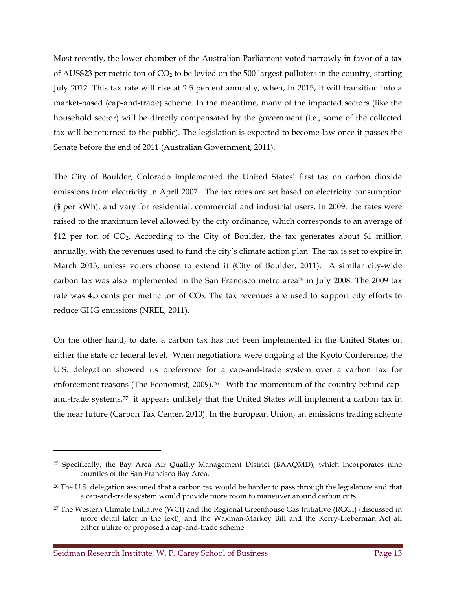Most recently, the lower chamber of the Australian Parliament voted narrowly in favor of a tax of AUS\$23 per metric ton of  $CO<sub>2</sub>$  to be levied on the 500 largest polluters in the country, starting July 2012. This tax rate will rise at 2.5 percent annually, when, in 2015, it will transition into a market-based (cap-and-trade) scheme. In the meantime, many of the impacted sectors (like the household sector) will be directly compensated by the government (i.e., some of the collected tax will be returned to the public). The legislation is expected to become law once it passes the Senate before the end of 2011 (Australian Government, 2011).

The City of Boulder, Colorado implemented the United States' first tax on carbon dioxide emissions from electricity in April 2007. The tax rates are set based on electricity consumption (\$ per kWh), and vary for residential, commercial and industrial users. In 2009, the rates were raised to the maximum level allowed by the city ordinance, which corresponds to an average of \$12 per ton of CO2. According to the City of Boulder, the tax generates about \$1 million annually, with the revenues used to fund the city's climate action plan. The tax is set to expire in March 2013, unless voters choose to extend it (City of Boulder, 2011). A similar city-wide carbon tax was also implemented in the San Francisco metro area<sup>25</sup> in July 2008. The 2009 tax rate was 4.5 cents per metric ton of CO<sub>2</sub>. The tax revenues are used to support city efforts to reduce GHG emissions (NREL, 2011).

On the other hand, to date, a carbon tax has not been implemented in the United States on either the state or federal level. When negotiations were ongoing at the Kyoto Conference, the U.S. delegation showed its preference for a cap-and-trade system over a carbon tax for enforcement reasons (The Economist, 2009).<sup>26</sup> With the momentum of the country behind capand-trade systems,<sup>27</sup> it appears unlikely that the United States will implement a carbon tax in the near future (Carbon Tax Center, 2010). In the European Union, an emissions trading scheme

1

<sup>25</sup> Specifically, the Bay Area Air Quality Management District (BAAQMD), which incorporates nine counties of the San Francisco Bay Area.

<sup>&</sup>lt;sup>26</sup> The U.S. delegation assumed that a carbon tax would be harder to pass through the legislature and that a cap-and-trade system would provide more room to maneuver around carbon cuts.

<sup>27</sup> The Western Climate Initiative (WCI) and the Regional Greenhouse Gas Initiative (RGGI) (discussed in more detail later in the text), and the Waxman-Markey Bill and the Kerry-Lieberman Act all either utilize or proposed a cap-and-trade scheme.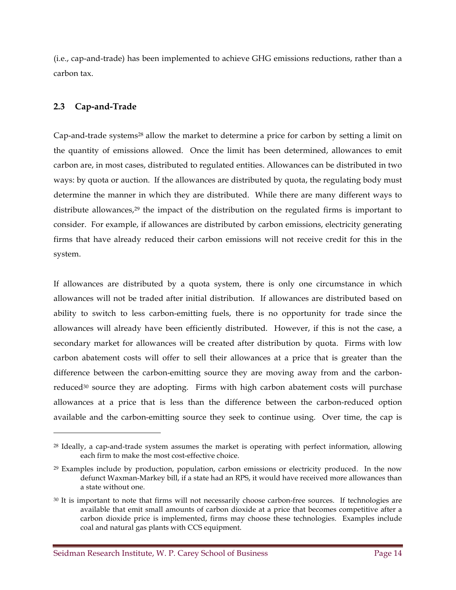(i.e., cap-and-trade) has been implemented to achieve GHG emissions reductions, rather than a carbon tax.

## **2.3 Cap-and-Trade**

1

Cap-and-trade systems<sup>28</sup> allow the market to determine a price for carbon by setting a limit on the quantity of emissions allowed. Once the limit has been determined, allowances to emit carbon are, in most cases, distributed to regulated entities. Allowances can be distributed in two ways: by quota or auction. If the allowances are distributed by quota, the regulating body must determine the manner in which they are distributed. While there are many different ways to distribute allowances,<sup>29</sup> the impact of the distribution on the regulated firms is important to consider. For example, if allowances are distributed by carbon emissions, electricity generating firms that have already reduced their carbon emissions will not receive credit for this in the system.

If allowances are distributed by a quota system, there is only one circumstance in which allowances will not be traded after initial distribution. If allowances are distributed based on ability to switch to less carbon-emitting fuels, there is no opportunity for trade since the allowances will already have been efficiently distributed. However, if this is not the case, a secondary market for allowances will be created after distribution by quota. Firms with low carbon abatement costs will offer to sell their allowances at a price that is greater than the difference between the carbon-emitting source they are moving away from and the carbonreduced $30$  source they are adopting. Firms with high carbon abatement costs will purchase allowances at a price that is less than the difference between the carbon-reduced option available and the carbon-emitting source they seek to continue using. Over time, the cap is

<sup>&</sup>lt;sup>28</sup> Ideally, a cap-and-trade system assumes the market is operating with perfect information, allowing each firm to make the most cost-effective choice.

<sup>&</sup>lt;sup>29</sup> Examples include by production, population, carbon emissions or electricity produced. In the now defunct Waxman-Markey bill, if a state had an RPS, it would have received more allowances than a state without one.

<sup>&</sup>lt;sup>30</sup> It is important to note that firms will not necessarily choose carbon-free sources. If technologies are available that emit small amounts of carbon dioxide at a price that becomes competitive after a carbon dioxide price is implemented, firms may choose these technologies. Examples include coal and natural gas plants with CCS equipment.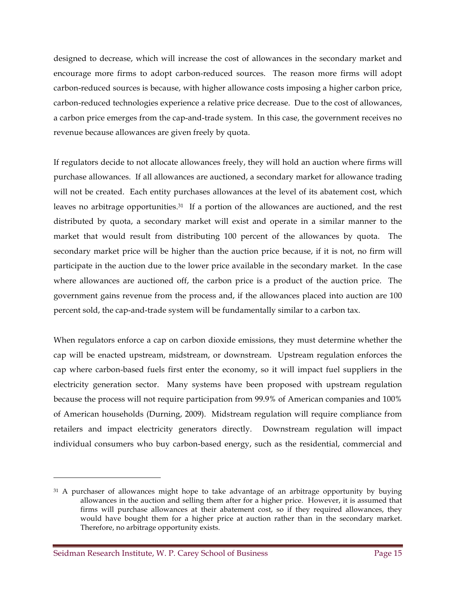designed to decrease, which will increase the cost of allowances in the secondary market and encourage more firms to adopt carbon-reduced sources. The reason more firms will adopt carbon-reduced sources is because, with higher allowance costs imposing a higher carbon price, carbon-reduced technologies experience a relative price decrease. Due to the cost of allowances, a carbon price emerges from the cap-and-trade system. In this case, the government receives no revenue because allowances are given freely by quota.

If regulators decide to not allocate allowances freely, they will hold an auction where firms will purchase allowances. If all allowances are auctioned, a secondary market for allowance trading will not be created. Each entity purchases allowances at the level of its abatement cost, which leaves no arbitrage opportunities.31 If a portion of the allowances are auctioned, and the rest distributed by quota, a secondary market will exist and operate in a similar manner to the market that would result from distributing 100 percent of the allowances by quota. The secondary market price will be higher than the auction price because, if it is not, no firm will participate in the auction due to the lower price available in the secondary market. In the case where allowances are auctioned off, the carbon price is a product of the auction price. The government gains revenue from the process and, if the allowances placed into auction are 100 percent sold, the cap-and-trade system will be fundamentally similar to a carbon tax.

When regulators enforce a cap on carbon dioxide emissions, they must determine whether the cap will be enacted upstream, midstream, or downstream. Upstream regulation enforces the cap where carbon-based fuels first enter the economy, so it will impact fuel suppliers in the electricity generation sector. Many systems have been proposed with upstream regulation because the process will not require participation from 99.9% of American companies and 100% of American households (Durning, 2009). Midstream regulation will require compliance from retailers and impact electricity generators directly. Downstream regulation will impact individual consumers who buy carbon-based energy, such as the residential, commercial and

 $\ddot{ }$ 

<sup>&</sup>lt;sup>31</sup> A purchaser of allowances might hope to take advantage of an arbitrage opportunity by buying allowances in the auction and selling them after for a higher price. However, it is assumed that firms will purchase allowances at their abatement cost, so if they required allowances, they would have bought them for a higher price at auction rather than in the secondary market. Therefore, no arbitrage opportunity exists.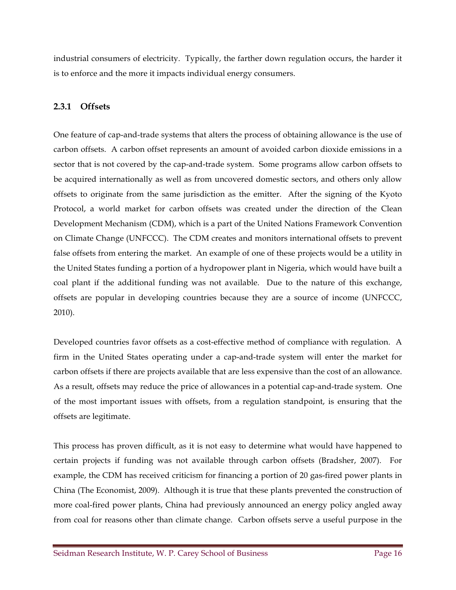industrial consumers of electricity. Typically, the farther down regulation occurs, the harder it is to enforce and the more it impacts individual energy consumers.

## **2.3.1 Offsets**

One feature of cap-and-trade systems that alters the process of obtaining allowance is the use of carbon offsets. A carbon offset represents an amount of avoided carbon dioxide emissions in a sector that is not covered by the cap-and-trade system. Some programs allow carbon offsets to be acquired internationally as well as from uncovered domestic sectors, and others only allow offsets to originate from the same jurisdiction as the emitter. After the signing of the Kyoto Protocol, a world market for carbon offsets was created under the direction of the Clean Development Mechanism (CDM), which is a part of the United Nations Framework Convention on Climate Change (UNFCCC). The CDM creates and monitors international offsets to prevent false offsets from entering the market. An example of one of these projects would be a utility in the United States funding a portion of a hydropower plant in Nigeria, which would have built a coal plant if the additional funding was not available. Due to the nature of this exchange, offsets are popular in developing countries because they are a source of income (UNFCCC, 2010).

Developed countries favor offsets as a cost-effective method of compliance with regulation. A firm in the United States operating under a cap-and-trade system will enter the market for carbon offsets if there are projects available that are less expensive than the cost of an allowance. As a result, offsets may reduce the price of allowances in a potential cap-and-trade system. One of the most important issues with offsets, from a regulation standpoint, is ensuring that the offsets are legitimate.

This process has proven difficult, as it is not easy to determine what would have happened to certain projects if funding was not available through carbon offsets (Bradsher, 2007). For example, the CDM has received criticism for financing a portion of 20 gas-fired power plants in China (The Economist, 2009). Although it is true that these plants prevented the construction of more coal-fired power plants, China had previously announced an energy policy angled away from coal for reasons other than climate change. Carbon offsets serve a useful purpose in the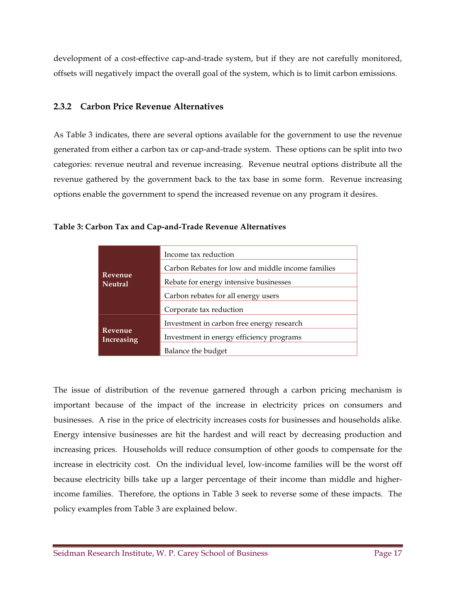development of a cost-effective cap-and-trade system, but if they are not carefully monitored, offsets will negatively impact the overall goal of the system, which is to limit carbon emissions.

## **2.3.2 Carbon Price Revenue Alternatives**

As Table 3 indicates, there are several options available for the government to use the revenue generated from either a carbon tax or cap-and-trade system. These options can be split into two categories: revenue neutral and revenue increasing. Revenue neutral options distribute all the revenue gathered by the government back to the tax base in some form. Revenue increasing options enable the government to spend the increased revenue on any program it desires.

|                           | Income tax reduction                              |
|---------------------------|---------------------------------------------------|
|                           | Carbon Rebates for low and middle income families |
| Revenue<br><b>Neutral</b> | Rebate for energy intensive businesses            |
|                           | Carbon rebates for all energy users               |
|                           | Corporate tax reduction                           |
|                           | Investment in carbon free energy research         |
| Revenue<br>Increasing     | Investment in energy efficiency programs          |
|                           | Balance the budget                                |

**Table 3: Carbon Tax and Cap-and-Trade Revenue Alternatives**

The issue of distribution of the revenue garnered through a carbon pricing mechanism is important because of the impact of the increase in electricity prices on consumers and businesses. A rise in the price of electricity increases costs for businesses and households alike. Energy intensive businesses are hit the hardest and will react by decreasing production and increasing prices. Households will reduce consumption of other goods to compensate for the increase in electricity cost. On the individual level, low-income families will be the worst off because electricity bills take up a larger percentage of their income than middle and higherincome families. Therefore, the options in Table 3 seek to reverse some of these impacts. The policy examples from Table 3 are explained below.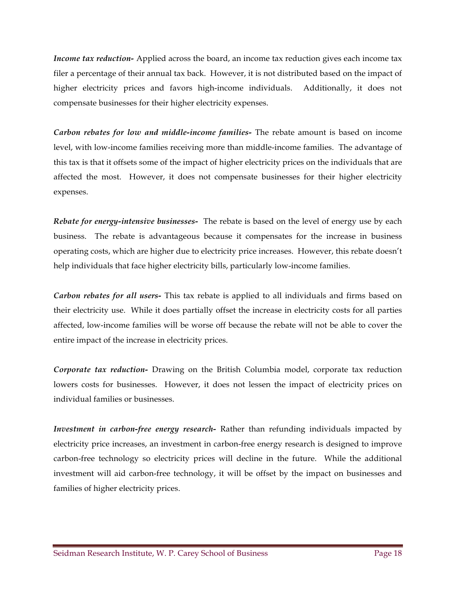*Income tax reduction-* Applied across the board, an income tax reduction gives each income tax filer a percentage of their annual tax back. However, it is not distributed based on the impact of higher electricity prices and favors high-income individuals. Additionally, it does not compensate businesses for their higher electricity expenses.

*Carbon rebates for low and middle-income families-* The rebate amount is based on income level, with low-income families receiving more than middle-income families. The advantage of this tax is that it offsets some of the impact of higher electricity prices on the individuals that are affected the most. However, it does not compensate businesses for their higher electricity expenses.

*Rebate for energy-intensive businesses-* The rebate is based on the level of energy use by each business. The rebate is advantageous because it compensates for the increase in business operating costs, which are higher due to electricity price increases. However, this rebate doesn't help individuals that face higher electricity bills, particularly low-income families.

*Carbon rebates for all users-* This tax rebate is applied to all individuals and firms based on their electricity use. While it does partially offset the increase in electricity costs for all parties affected, low-income families will be worse off because the rebate will not be able to cover the entire impact of the increase in electricity prices.

*Corporate tax reduction-* Drawing on the British Columbia model, corporate tax reduction lowers costs for businesses. However, it does not lessen the impact of electricity prices on individual families or businesses.

*Investment in carbon-free energy research-* Rather than refunding individuals impacted by electricity price increases, an investment in carbon-free energy research is designed to improve carbon-free technology so electricity prices will decline in the future. While the additional investment will aid carbon-free technology, it will be offset by the impact on businesses and families of higher electricity prices.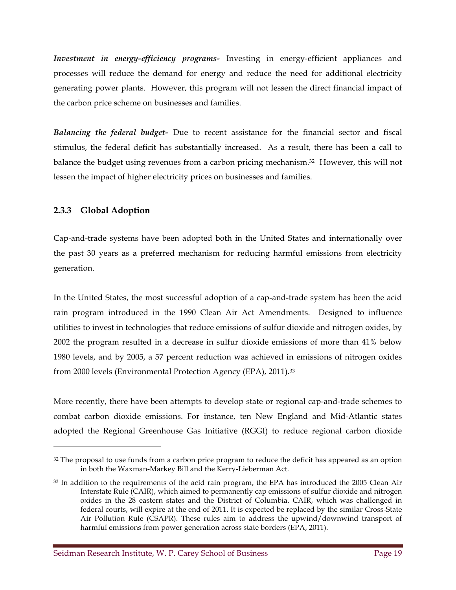*Investment in energy-efficiency programs-* Investing in energy-efficient appliances and processes will reduce the demand for energy and reduce the need for additional electricity generating power plants. However, this program will not lessen the direct financial impact of the carbon price scheme on businesses and families.

*Balancing the federal budget-* Due to recent assistance for the financial sector and fiscal stimulus, the federal deficit has substantially increased. As a result, there has been a call to balance the budget using revenues from a carbon pricing mechanism.32 However, this will not lessen the impact of higher electricity prices on businesses and families.

## **2.3.3 Global Adoption**

1

Cap-and-trade systems have been adopted both in the United States and internationally over the past 30 years as a preferred mechanism for reducing harmful emissions from electricity generation.

In the United States, the most successful adoption of a cap-and-trade system has been the acid rain program introduced in the 1990 Clean Air Act Amendments. Designed to influence utilities to invest in technologies that reduce emissions of sulfur dioxide and nitrogen oxides, by 2002 the program resulted in a decrease in sulfur dioxide emissions of more than 41% below 1980 levels, and by 2005, a 57 percent reduction was achieved in emissions of nitrogen oxides from 2000 levels (Environmental Protection Agency (EPA), 2011).33

More recently, there have been attempts to develop state or regional cap-and-trade schemes to combat carbon dioxide emissions. For instance, ten New England and Mid-Atlantic states adopted the Regional Greenhouse Gas Initiative (RGGI) to reduce regional carbon dioxide

<sup>&</sup>lt;sup>32</sup> The proposal to use funds from a carbon price program to reduce the deficit has appeared as an option in both the Waxman-Markey Bill and the Kerry-Lieberman Act.

<sup>33</sup> In addition to the requirements of the acid rain program, the EPA has introduced the 2005 Clean Air Interstate Rule (CAIR), which aimed to permanently cap emissions of sulfur dioxide and nitrogen oxides in the 28 eastern states and the District of Columbia. CAIR, which was challenged in federal courts, will expire at the end of 2011. It is expected be replaced by the similar Cross-State Air Pollution Rule (CSAPR). These rules aim to address the upwind/downwind transport of harmful emissions from power generation across state borders (EPA, 2011).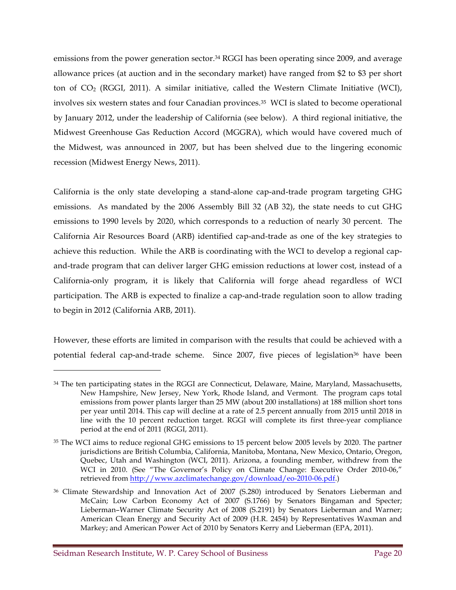emissions from the power generation sector.<sup>34</sup> RGGI has been operating since 2009, and average allowance prices (at auction and in the secondary market) have ranged from \$2 to \$3 per short ton of  $CO<sub>2</sub>$  (RGGI, 2011). A similar initiative, called the Western Climate Initiative (WCI), involves six western states and four Canadian provinces.35 WCI is slated to become operational by January 2012, under the leadership of California (see below). A third regional initiative, the Midwest Greenhouse Gas Reduction Accord (MGGRA), which would have covered much of the Midwest, was announced in 2007, but has been shelved due to the lingering economic recession (Midwest Energy News, 2011).

California is the only state developing a stand-alone cap-and-trade program targeting GHG emissions. As mandated by the 2006 Assembly Bill 32 (AB 32), the state needs to cut GHG emissions to 1990 levels by 2020, which corresponds to a reduction of nearly 30 percent. The California Air Resources Board (ARB) identified cap-and-trade as one of the key strategies to achieve this reduction. While the ARB is coordinating with the WCI to develop a regional capand-trade program that can deliver larger GHG emission reductions at lower cost, instead of a California-only program, it is likely that California will forge ahead regardless of WCI participation. The ARB is expected to finalize a cap-and-trade regulation soon to allow trading to begin in 2012 (California ARB, 2011).

However, these efforts are limited in comparison with the results that could be achieved with a potential federal cap-and-trade scheme. Since 2007, five pieces of legislation36 have been

 $\ddot{ }$ 

<sup>&</sup>lt;sup>34</sup> The ten participating states in the RGGI are Connecticut, Delaware, Maine, Maryland, Massachusetts, New Hampshire, New Jersey, New York, Rhode Island, and Vermont. The program caps total emissions from power plants larger than 25 MW (about 200 installations) at 188 million short tons per year until 2014. This cap will decline at a rate of 2.5 percent annually from 2015 until 2018 in line with the 10 percent reduction target. RGGI will complete its first three-year compliance period at the end of 2011 (RGGI, 2011).

<sup>35</sup> The WCI aims to reduce regional GHG emissions to 15 percent below 2005 levels by 2020. The partner jurisdictions are British Columbia, California, Manitoba, Montana, New Mexico, Ontario, Oregon, Quebec, Utah and Washington (WCI, 2011). Arizona, a founding member, withdrew from the WCI in 2010. (See "The Governor's Policy on Climate Change: Executive Order 2010-06," retrieved from http://www.azclimatechange.gov/download/eo-2010-06.pdf.)

<sup>36</sup> Climate Stewardship and Innovation Act of 2007 (S.280) introduced by Senators Lieberman and McCain; Low Carbon Economy Act of 2007 (S.1766) by Senators Bingaman and Specter; Lieberman–Warner Climate Security Act of 2008 (S.2191) by Senators Lieberman and Warner; American Clean Energy and Security Act of 2009 (H.R. 2454) by Representatives Waxman and Markey; and American Power Act of 2010 by Senators Kerry and Lieberman (EPA, 2011).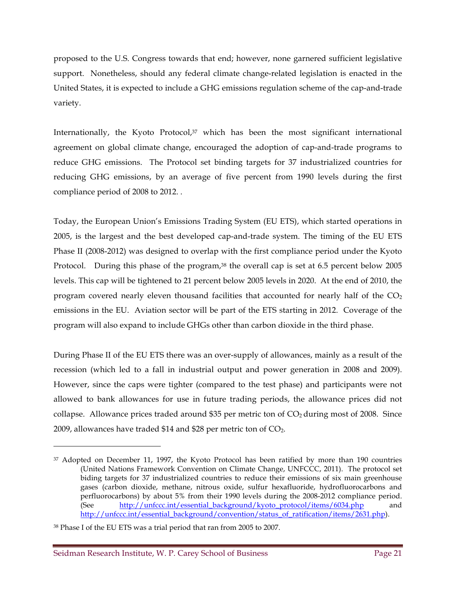proposed to the U.S. Congress towards that end; however, none garnered sufficient legislative support. Nonetheless, should any federal climate change-related legislation is enacted in the United States, it is expected to include a GHG emissions regulation scheme of the cap-and-trade variety.

Internationally, the Kyoto Protocol, $37$  which has been the most significant international agreement on global climate change, encouraged the adoption of cap-and-trade programs to reduce GHG emissions. The Protocol set binding targets for 37 industrialized countries for reducing GHG emissions, by an average of five percent from 1990 levels during the first compliance period of 2008 to 2012. .

Today, the European Union's Emissions Trading System (EU ETS), which started operations in 2005, is the largest and the best developed cap-and-trade system. The timing of the EU ETS Phase II (2008-2012) was designed to overlap with the first compliance period under the Kyoto Protocol. During this phase of the program,<sup>38</sup> the overall cap is set at 6.5 percent below 2005 levels. This cap will be tightened to 21 percent below 2005 levels in 2020. At the end of 2010, the program covered nearly eleven thousand facilities that accounted for nearly half of the  $CO<sub>2</sub>$ emissions in the EU. Aviation sector will be part of the ETS starting in 2012. Coverage of the program will also expand to include GHGs other than carbon dioxide in the third phase.

During Phase II of the EU ETS there was an over-supply of allowances, mainly as a result of the recession (which led to a fall in industrial output and power generation in 2008 and 2009). However, since the caps were tighter (compared to the test phase) and participants were not allowed to bank allowances for use in future trading periods, the allowance prices did not collapse. Allowance prices traded around \$35 per metric ton of  $CO<sub>2</sub>$  during most of 2008. Since 2009, allowances have traded \$14 and \$28 per metric ton of  $CO<sub>2</sub>$ .

1

<sup>&</sup>lt;sup>37</sup> Adopted on December 11, 1997, the Kyoto Protocol has been ratified by more than 190 countries (United Nations Framework Convention on Climate Change, UNFCCC, 2011). The protocol set biding targets for 37 industrialized countries to reduce their emissions of six main greenhouse gases (carbon dioxide, methane, nitrous oxide, sulfur hexafluoride, hydrofluorocarbons and perfluorocarbons) by about 5% from their 1990 levels during the 2008-2012 compliance period. (See http://unfccc.int/essential\_background/kyoto\_protocol/items/6034.php and http://unfccc.int/essential\_background/convention/status\_of\_ratification/items/2631.php).

<sup>38</sup> Phase I of the EU ETS was a trial period that ran from 2005 to 2007.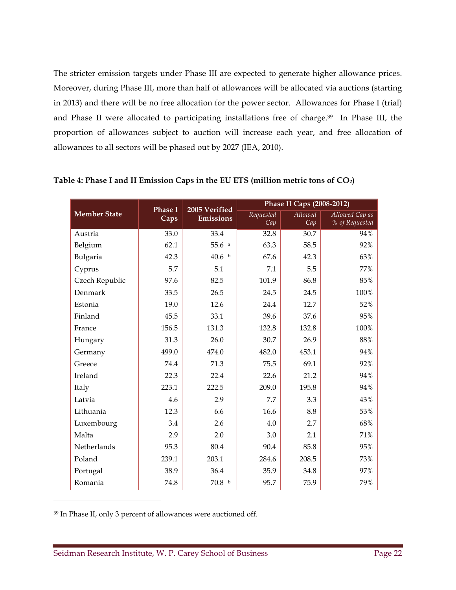The stricter emission targets under Phase III are expected to generate higher allowance prices. Moreover, during Phase III, more than half of allowances will be allocated via auctions (starting in 2013) and there will be no free allocation for the power sector. Allowances for Phase I (trial) and Phase II were allocated to participating installations free of charge.<sup>39</sup> In Phase III, the proportion of allowances subject to auction will increase each year, and free allocation of allowances to all sectors will be phased out by 2027 (IEA, 2010).

|                     |       | Phase II Caps (2008-2012)<br>2005 Verified<br><b>Phase I</b> |                  |                |                                         |
|---------------------|-------|--------------------------------------------------------------|------------------|----------------|-----------------------------------------|
| <b>Member State</b> | Caps  | Emissions                                                    | Requested<br>Cap | Allowed<br>Cap | <b>Allowed Cap as</b><br>% of Requested |
| Austria             | 33.0  | 33.4                                                         | 32.8             | 30.7           | 94%                                     |
| Belgium             | 62.1  | 55.6a                                                        | 63.3             | 58.5           | 92%                                     |
| Bulgaria            | 42.3  | 40.6 $b$                                                     | 67.6             | 42.3           | 63%                                     |
| Cyprus              | 5.7   | 5.1                                                          | 7.1              | 5.5            | 77%                                     |
| Czech Republic      | 97.6  | 82.5                                                         | 101.9            | 86.8           | 85%                                     |
| Denmark             | 33.5  | 26.5                                                         | 24.5             | 24.5           | 100%                                    |
| Estonia             | 19.0  | 12.6                                                         | 24.4             | 12.7           | 52%                                     |
| Finland             | 45.5  | 33.1                                                         | 39.6             | 37.6           | 95%                                     |
| France              | 156.5 | 131.3                                                        | 132.8            | 132.8          | 100%                                    |
| Hungary             | 31.3  | 26.0                                                         | 30.7             | 26.9           | 88%                                     |
| Germany             | 499.0 | 474.0                                                        | 482.0            | 453.1          | 94%                                     |
| Greece              | 74.4  | 71.3                                                         | 75.5             | 69.1           | 92%                                     |
| Ireland             | 22.3  | 22.4                                                         | 22.6             | 21.2           | 94%                                     |
| Italy               | 223.1 | 222.5                                                        | 209.0            | 195.8          | 94%                                     |
| Latvia              | 4.6   | 2.9                                                          | 7.7              | 3.3            | 43%                                     |
| Lithuania           | 12.3  | 6.6                                                          | 16.6             | 8.8            | 53%                                     |
| Luxembourg          | 3.4   | 2.6                                                          | 4.0              | 2.7            | 68%                                     |
| Malta               | 2.9   | 2.0                                                          | 3.0              | 2.1            | 71%                                     |
| Netherlands         | 95.3  | 80.4                                                         | 90.4             | 85.8           | 95%                                     |
| Poland              | 239.1 | 203.1                                                        | 284.6            | 208.5          | 73%                                     |
| Portugal            | 38.9  | 36.4                                                         | 35.9             | 34.8           | 97%                                     |
| Romania             | 74.8  | 70.8 b                                                       | 95.7             | 75.9           | 79%                                     |

|  | Table 4: Phase I and II Emission Caps in the EU ETS (million metric tons of $\rm{CO_2}\rangle$ |  |
|--|------------------------------------------------------------------------------------------------|--|
|  |                                                                                                |  |

<sup>39</sup> In Phase II, only 3 percent of allowances were auctioned off.

 $\overline{a}$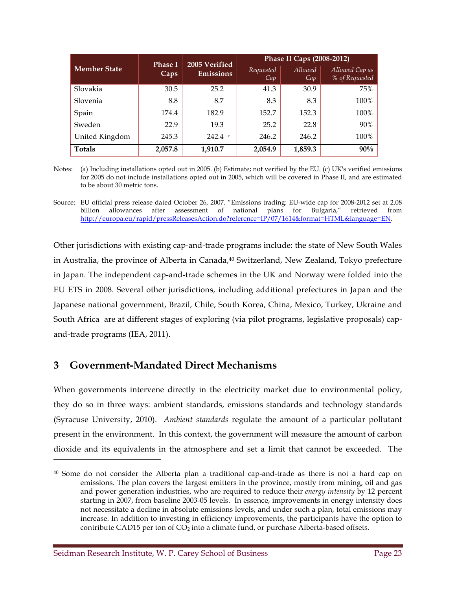|                     | 2005 Verified<br><b>Phase I</b><br>Caps |                   | Phase II Caps (2008-2012) |                |                                  |
|---------------------|-----------------------------------------|-------------------|---------------------------|----------------|----------------------------------|
| <b>Member State</b> |                                         | <b>Emissions</b>  | Requested<br>Cap          | Allowed<br>Cap | Allowed Cap as<br>% of Requested |
| Slovakia            | 30.5                                    | 25.2              | 41.3                      | 30.9           | 75%                              |
| Slovenia            | 8.8                                     | 8.7               | 8.3                       | 8.3            | 100%                             |
| Spain               | 174.4                                   | 182.9             | 152.7                     | 152.3          | 100%                             |
| Sweden              | 22.9                                    | 19.3              | 25.2                      | 22.8           | 90%                              |
| United Kingdom      | 245.3                                   | $242.4 \text{ c}$ | 246.2                     | 246.2          | 100%                             |
| <b>Totals</b>       | 2,057.8                                 | 1,910.7           | 2,054.9                   | 1,859.3        | 90%                              |

Notes: (a) Including installations opted out in 2005. (b) Estimate; not verified by the EU. (c) UK's verified emissions for 2005 do not include installations opted out in 2005, which will be covered in Phase II, and are estimated to be about 30 metric tons.

Other jurisdictions with existing cap-and-trade programs include: the state of New South Wales in Australia, the province of Alberta in Canada,<sup>40</sup> Switzerland, New Zealand, Tokyo prefecture in Japan. The independent cap-and-trade schemes in the UK and Norway were folded into the EU ETS in 2008. Several other jurisdictions, including additional prefectures in Japan and the Japanese national government, Brazil, Chile, South Korea, China, Mexico, Turkey, Ukraine and South Africa are at different stages of exploring (via pilot programs, legislative proposals) capand-trade programs (IEA, 2011).

## **3 Government-Mandated Direct Mechanisms**

When governments intervene directly in the electricity market due to environmental policy, they do so in three ways: ambient standards, emissions standards and technology standards (Syracuse University, 2010). *Ambient standards* regulate the amount of a particular pollutant present in the environment. In this context, the government will measure the amount of carbon dioxide and its equivalents in the atmosphere and set a limit that cannot be exceeded. The

1

Source: EU official press release dated October 26, 2007. "Emissions trading: EU-wide cap for 2008-2012 set at 2.08 billion allowances after assessment of national plans for Bulgaria," retrieved from http://europa.eu/rapid/pressReleasesAction.do?reference=IP/07/1614&format=HTML&language=EN.

<sup>40</sup> Some do not consider the Alberta plan a traditional cap-and-trade as there is not a hard cap on emissions. The plan covers the largest emitters in the province, mostly from mining, oil and gas and power generation industries, who are required to reduce their *energy intensity* by 12 percent starting in 2007, from baseline 2003-05 levels. In essence, improvements in energy intensity does not necessitate a decline in absolute emissions levels, and under such a plan, total emissions may increase. In addition to investing in efficiency improvements, the participants have the option to contribute CAD15 per ton of  $CO<sub>2</sub>$  into a climate fund, or purchase Alberta-based offsets.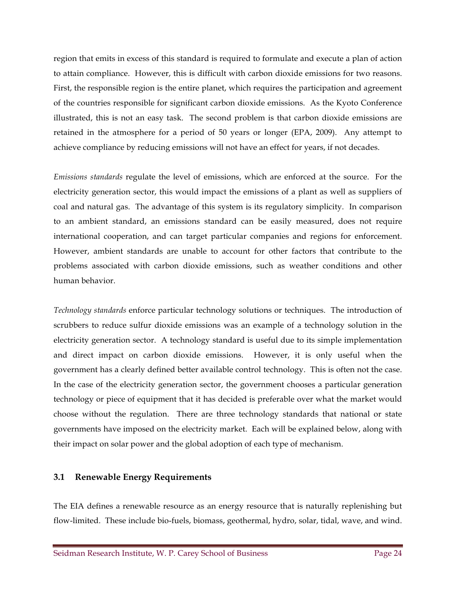region that emits in excess of this standard is required to formulate and execute a plan of action to attain compliance. However, this is difficult with carbon dioxide emissions for two reasons. First, the responsible region is the entire planet, which requires the participation and agreement of the countries responsible for significant carbon dioxide emissions. As the Kyoto Conference illustrated, this is not an easy task. The second problem is that carbon dioxide emissions are retained in the atmosphere for a period of 50 years or longer (EPA, 2009). Any attempt to achieve compliance by reducing emissions will not have an effect for years, if not decades.

*Emissions standards* regulate the level of emissions, which are enforced at the source. For the electricity generation sector, this would impact the emissions of a plant as well as suppliers of coal and natural gas. The advantage of this system is its regulatory simplicity. In comparison to an ambient standard, an emissions standard can be easily measured, does not require international cooperation, and can target particular companies and regions for enforcement. However, ambient standards are unable to account for other factors that contribute to the problems associated with carbon dioxide emissions, such as weather conditions and other human behavior.

*Technology standards* enforce particular technology solutions or techniques. The introduction of scrubbers to reduce sulfur dioxide emissions was an example of a technology solution in the electricity generation sector. A technology standard is useful due to its simple implementation and direct impact on carbon dioxide emissions. However, it is only useful when the government has a clearly defined better available control technology. This is often not the case. In the case of the electricity generation sector, the government chooses a particular generation technology or piece of equipment that it has decided is preferable over what the market would choose without the regulation. There are three technology standards that national or state governments have imposed on the electricity market. Each will be explained below, along with their impact on solar power and the global adoption of each type of mechanism.

## **3.1 Renewable Energy Requirements**

The EIA defines a renewable resource as an energy resource that is naturally replenishing but flow-limited. These include bio-fuels, biomass, geothermal, hydro, solar, tidal, wave, and wind.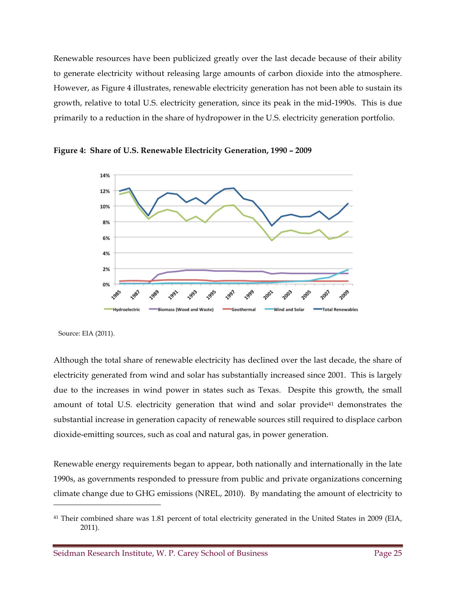Renewable resources have been publicized greatly over the last decade because of their ability to generate electricity without releasing large amounts of carbon dioxide into the atmosphere. However, as Figure 4 illustrates, renewable electricity generation has not been able to sustain its growth, relative to total U.S. electricity generation, since its peak in the mid-1990s. This is due primarily to a reduction in the share of hydropower in the U.S. electricity generation portfolio.



**Figure 4: Share of U.S. Renewable Electricity Generation, 1990 – 2009**

Source: EIA (2011).

 $\overline{a}$ 

Although the total share of renewable electricity has declined over the last decade, the share of electricity generated from wind and solar has substantially increased since 2001. This is largely due to the increases in wind power in states such as Texas. Despite this growth, the small amount of total U.S. electricity generation that wind and solar provide<sup>41</sup> demonstrates the substantial increase in generation capacity of renewable sources still required to displace carbon dioxide-emitting sources, such as coal and natural gas, in power generation.

Renewable energy requirements began to appear, both nationally and internationally in the late 1990s, as governments responded to pressure from public and private organizations concerning climate change due to GHG emissions (NREL, 2010). By mandating the amount of electricity to

<sup>41</sup> Their combined share was 1.81 percent of total electricity generated in the United States in 2009 (EIA, 2011).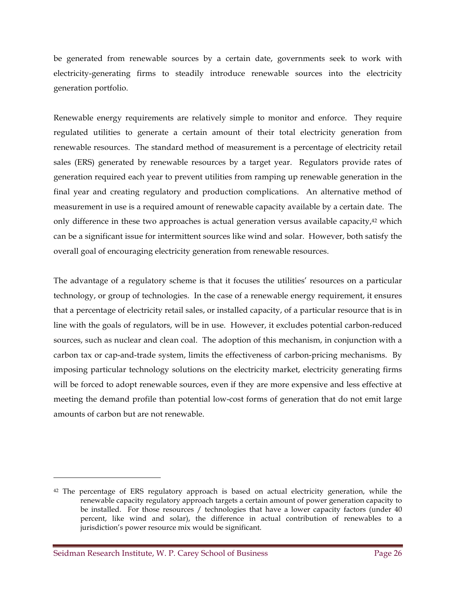be generated from renewable sources by a certain date, governments seek to work with electricity-generating firms to steadily introduce renewable sources into the electricity generation portfolio.

Renewable energy requirements are relatively simple to monitor and enforce. They require regulated utilities to generate a certain amount of their total electricity generation from renewable resources. The standard method of measurement is a percentage of electricity retail sales (ERS) generated by renewable resources by a target year. Regulators provide rates of generation required each year to prevent utilities from ramping up renewable generation in the final year and creating regulatory and production complications. An alternative method of measurement in use is a required amount of renewable capacity available by a certain date. The only difference in these two approaches is actual generation versus available capacity, $42$  which can be a significant issue for intermittent sources like wind and solar. However, both satisfy the overall goal of encouraging electricity generation from renewable resources.

The advantage of a regulatory scheme is that it focuses the utilities' resources on a particular technology, or group of technologies. In the case of a renewable energy requirement, it ensures that a percentage of electricity retail sales, or installed capacity, of a particular resource that is in line with the goals of regulators, will be in use. However, it excludes potential carbon-reduced sources, such as nuclear and clean coal. The adoption of this mechanism, in conjunction with a carbon tax or cap-and-trade system, limits the effectiveness of carbon-pricing mechanisms. By imposing particular technology solutions on the electricity market, electricity generating firms will be forced to adopt renewable sources, even if they are more expensive and less effective at meeting the demand profile than potential low-cost forms of generation that do not emit large amounts of carbon but are not renewable.

 $\ddot{ }$ 

<sup>42</sup> The percentage of ERS regulatory approach is based on actual electricity generation, while the renewable capacity regulatory approach targets a certain amount of power generation capacity to be installed. For those resources / technologies that have a lower capacity factors (under 40 percent, like wind and solar), the difference in actual contribution of renewables to a jurisdiction's power resource mix would be significant.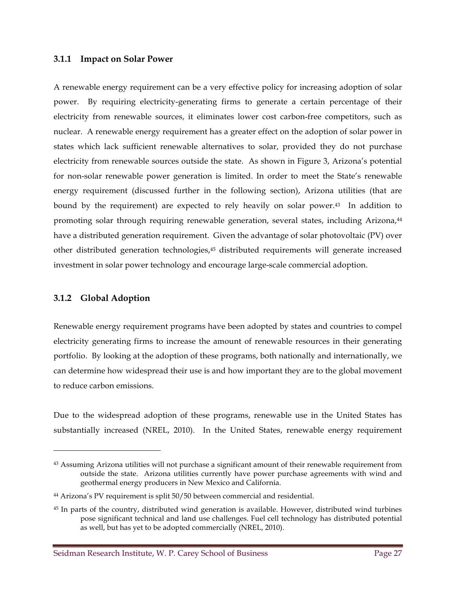#### **3.1.1 Impact on Solar Power**

A renewable energy requirement can be a very effective policy for increasing adoption of solar power. By requiring electricity-generating firms to generate a certain percentage of their electricity from renewable sources, it eliminates lower cost carbon-free competitors, such as nuclear. A renewable energy requirement has a greater effect on the adoption of solar power in states which lack sufficient renewable alternatives to solar, provided they do not purchase electricity from renewable sources outside the state. As shown in Figure 3, Arizona's potential for non-solar renewable power generation is limited. In order to meet the State's renewable energy requirement (discussed further in the following section), Arizona utilities (that are bound by the requirement) are expected to rely heavily on solar power.43 In addition to promoting solar through requiring renewable generation, several states, including Arizona,<sup>44</sup> have a distributed generation requirement. Given the advantage of solar photovoltaic (PV) over other distributed generation technologies,45 distributed requirements will generate increased investment in solar power technology and encourage large-scale commercial adoption.

### **3.1.2 Global Adoption**

1

Renewable energy requirement programs have been adopted by states and countries to compel electricity generating firms to increase the amount of renewable resources in their generating portfolio. By looking at the adoption of these programs, both nationally and internationally, we can determine how widespread their use is and how important they are to the global movement to reduce carbon emissions.

Due to the widespread adoption of these programs, renewable use in the United States has substantially increased (NREL, 2010). In the United States, renewable energy requirement

<sup>&</sup>lt;sup>43</sup> Assuming Arizona utilities will not purchase a significant amount of their renewable requirement from outside the state. Arizona utilities currently have power purchase agreements with wind and geothermal energy producers in New Mexico and California.

<sup>44</sup> Arizona's PV requirement is split 50/50 between commercial and residential.

<sup>45</sup> In parts of the country, distributed wind generation is available. However, distributed wind turbines pose significant technical and land use challenges. Fuel cell technology has distributed potential as well, but has yet to be adopted commercially (NREL, 2010).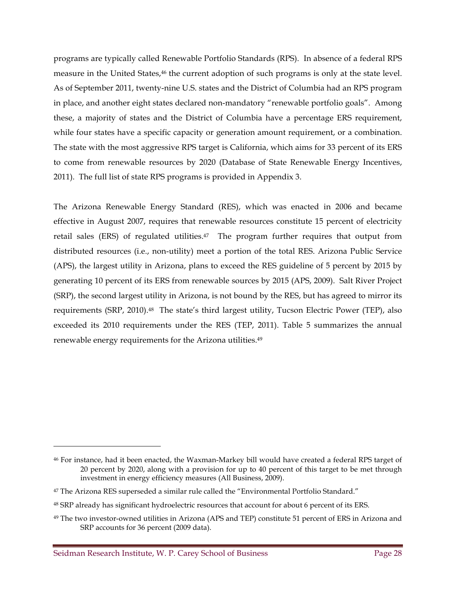programs are typically called Renewable Portfolio Standards (RPS). In absence of a federal RPS measure in the United States,<sup>46</sup> the current adoption of such programs is only at the state level. As of September 2011, twenty-nine U.S. states and the District of Columbia had an RPS program in place, and another eight states declared non-mandatory "renewable portfolio goals". Among these, a majority of states and the District of Columbia have a percentage ERS requirement, while four states have a specific capacity or generation amount requirement, or a combination. The state with the most aggressive RPS target is California, which aims for 33 percent of its ERS to come from renewable resources by 2020 (Database of State Renewable Energy Incentives, 2011). The full list of state RPS programs is provided in Appendix 3.

The Arizona Renewable Energy Standard (RES), which was enacted in 2006 and became effective in August 2007, requires that renewable resources constitute 15 percent of electricity retail sales (ERS) of regulated utilities. $47$  The program further requires that output from distributed resources (i.e., non-utility) meet a portion of the total RES. Arizona Public Service (APS), the largest utility in Arizona, plans to exceed the RES guideline of 5 percent by 2015 by generating 10 percent of its ERS from renewable sources by 2015 (APS, 2009). Salt River Project (SRP), the second largest utility in Arizona, is not bound by the RES, but has agreed to mirror its requirements (SRP, 2010).48 The state's third largest utility, Tucson Electric Power (TEP), also exceeded its 2010 requirements under the RES (TEP, 2011). Table 5 summarizes the annual renewable energy requirements for the Arizona utilities.49

1

<sup>46</sup> For instance, had it been enacted, the Waxman-Markey bill would have created a federal RPS target of 20 percent by 2020, along with a provision for up to 40 percent of this target to be met through investment in energy efficiency measures (All Business, 2009).

<sup>47</sup> The Arizona RES superseded a similar rule called the "Environmental Portfolio Standard."

<sup>48</sup> SRP already has significant hydroelectric resources that account for about 6 percent of its ERS.

<sup>49</sup> The two investor-owned utilities in Arizona (APS and TEP) constitute 51 percent of ERS in Arizona and SRP accounts for 36 percent (2009 data).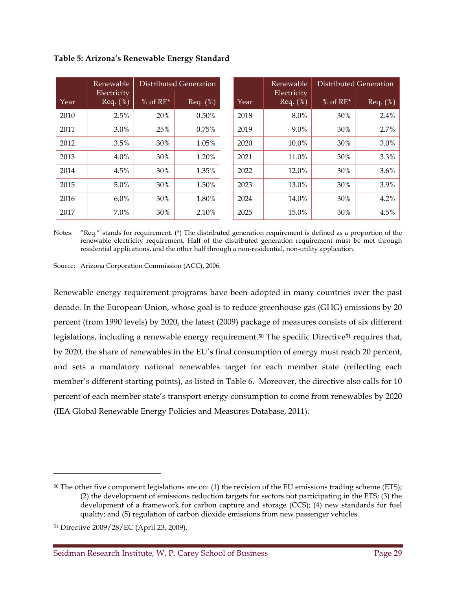|      | Renewable                  | Distributed Generation |             |      | Renewable                  | Distributed Generation |             |
|------|----------------------------|------------------------|-------------|------|----------------------------|------------------------|-------------|
| Year | Electricity<br>Req. $(\%)$ | $%$ of RE*             | Req. $(\%)$ | Year | Electricity<br>Req. $(\%)$ | $%$ of RE*             | Req. $(\%)$ |
| 2010 | 2.5%                       | 20%                    | 0.50%       | 2018 | 8.0%                       | 30%                    | 2.4%        |
| 2011 | 3.0%                       | 25%                    | 0.75%       | 2019 | 9.0%                       | 30%                    | 2.7%        |
| 2012 | 3.5%                       | 30%                    | 1.05%       | 2020 | 10.0%                      | 30%                    | 3.0%        |
| 2013 | 4.0%                       | 30%                    | 1.20%       | 2021 | 11.0%                      | 30%                    | 3.3%        |
| 2014 | 4.5%                       | 30%                    | 1.35%       | 2022 | 12.0%                      | 30%                    | 3.6%        |
| 2015 | $5.0\%$                    | 30%                    | 1.50%       | 2023 | 13.0%                      | 30%                    | 3.9%        |
| 2016 | $6.0\%$                    | 30%                    | 1.80%       | 2024 | 14.0%                      | 30%                    | 4.2%        |
| 2017 | 7.0%                       | 30%                    | 2.10%       | 2025 | 15.0%                      | 30%                    | 4.5%        |

#### **Table 5: Arizona's Renewable Energy Standard**

Notes: "Req." stands for requirement. (\*) The distributed generation requirement is defined as a proportion of the renewable electricity requirement. Half of the distributed generation requirement must be met through residential applications, and the other half through a non-residential, non-utility application.

Source: Arizona Corporation Commission (ACC), 2006.

Renewable energy requirement programs have been adopted in many countries over the past decade. In the European Union, whose goal is to reduce greenhouse gas (GHG) emissions by 20 percent (from 1990 levels) by 2020, the latest (2009) package of measures consists of six different legislations, including a renewable energy requirement.<sup>50</sup> The specific Directive<sup>51</sup> requires that, by 2020, the share of renewables in the EU's final consumption of energy must reach 20 percent, and sets a mandatory national renewables target for each member state (reflecting each member's different starting points), as listed in Table 6. Moreover, the directive also calls for 10 percent of each member state's transport energy consumption to come from renewables by 2020 (IEA Global Renewable Energy Policies and Measures Database, 2011).

 $\ddot{ }$ 

<sup>&</sup>lt;sup>50</sup> The other five component legislations are on: (1) the revision of the EU emissions trading scheme (ETS); (2) the development of emissions reduction targets for sectors not participating in the ETS; (3) the development of a framework for carbon capture and storage (CCS); (4) new standards for fuel quality; and (5) regulation of carbon dioxide emissions from new passenger vehicles.

<sup>51</sup> Directive 2009/28/EC (April 23, 2009).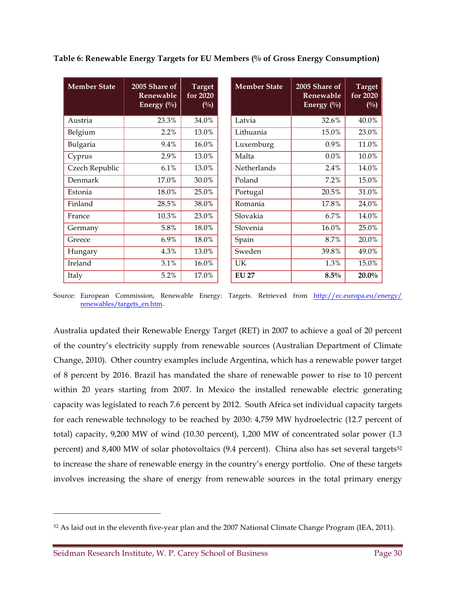| <b>Member State</b> | 2005 Share of<br>Renewable<br>Energy $(\%)$ | <b>Target</b><br>for 2020<br>$\binom{0}{0}$ | <b>Member State</b> | 2005 Share of<br>Renewable<br>Energy $(\%)$ |  |
|---------------------|---------------------------------------------|---------------------------------------------|---------------------|---------------------------------------------|--|
| Austria             | 23.3%                                       | 34.0%                                       | Latvia              | 32.6%                                       |  |
| Belgium             | 2.2%                                        | 13.0%                                       | Lithuania           | 15.0%                                       |  |
| Bulgaria            | 9.4%                                        | 16.0%                                       | Luxemburg           | 0.9%                                        |  |
| Cyprus              | 2.9%                                        | 13.0%                                       | Malta               | 0.0%                                        |  |
| Czech Republic      | 6.1%                                        | 13.0%                                       | <b>Netherlands</b>  | 2.4%                                        |  |
| Denmark             | 17.0%                                       | 30.0%                                       | Poland              | 7.2%                                        |  |
| Estonia             | 18.0%                                       | 25.0%                                       | Portugal            | 20.5%                                       |  |
| Finland             | 28.5%                                       | 38.0%                                       | Romania             | 17.8%                                       |  |
| France              | 10.3%                                       | 23.0%                                       | Slovakia            | 6.7%                                        |  |
| Germany             | 5.8%                                        | 18.0%                                       | Slovenia            | 16.0%                                       |  |
| Greece              | 6.9%                                        | 18.0%                                       | Spain               | 8.7%                                        |  |
| Hungary             | 4.3%                                        | 13.0%                                       | Sweden              | 39.8%                                       |  |
| Ireland             | 3.1%                                        | 16.0%                                       | UK.                 | 1.3%                                        |  |
| Italy               | 5.2%                                        | 17.0%                                       | <b>EU 27</b>        | 8.5%                                        |  |

**Table 6: Renewable Energy Targets for EU Members (% of Gross Energy Consumption)**

Source: European Commission, Renewable Energy: Targets. Retrieved from http://ec.europa.eu/energy/ renewables/targets\_en.htm.

Australia updated their Renewable Energy Target (RET) in 2007 to achieve a goal of 20 percent of the country's electricity supply from renewable sources (Australian Department of Climate Change, 2010). Other country examples include Argentina, which has a renewable power target of 8 percent by 2016. Brazil has mandated the share of renewable power to rise to 10 percent within 20 years starting from 2007. In Mexico the installed renewable electric generating capacity was legislated to reach 7.6 percent by 2012. South Africa set individual capacity targets for each renewable technology to be reached by 2030: 4,759 MW hydroelectric (12.7 percent of total) capacity, 9,200 MW of wind (10.30 percent), 1,200 MW of concentrated solar power (1.3 percent) and 8,400 MW of solar photovoltaics (9.4 percent). China also has set several targets52 to increase the share of renewable energy in the country's energy portfolio. One of these targets involves increasing the share of energy from renewable sources in the total primary energy

 $\overline{a}$ 

<sup>52</sup> As laid out in the eleventh five-year plan and the 2007 National Climate Change Program (IEA, 2011).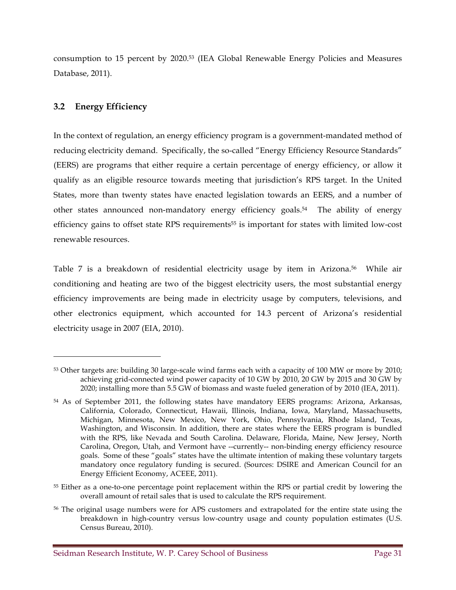consumption to 15 percent by 2020.53 (IEA Global Renewable Energy Policies and Measures Database, 2011).

## **3.2 Energy Efficiency**

 $\ddot{ }$ 

In the context of regulation, an energy efficiency program is a government-mandated method of reducing electricity demand. Specifically, the so-called "Energy Efficiency Resource Standards" (EERS) are programs that either require a certain percentage of energy efficiency, or allow it qualify as an eligible resource towards meeting that jurisdiction's RPS target. In the United States, more than twenty states have enacted legislation towards an EERS, and a number of other states announced non-mandatory energy efficiency goals.54 The ability of energy efficiency gains to offset state RPS requirements<sup>55</sup> is important for states with limited low-cost renewable resources.

Table 7 is a breakdown of residential electricity usage by item in Arizona.56 While air conditioning and heating are two of the biggest electricity users, the most substantial energy efficiency improvements are being made in electricity usage by computers, televisions, and other electronics equipment, which accounted for 14.3 percent of Arizona's residential electricity usage in 2007 (EIA, 2010).

<sup>53</sup> Other targets are: building 30 large-scale wind farms each with a capacity of 100 MW or more by 2010; achieving grid-connected wind power capacity of 10 GW by 2010, 20 GW by 2015 and 30 GW by 2020; installing more than 5.5 GW of biomass and waste fueled generation of by 2010 (IEA, 2011).

<sup>&</sup>lt;sup>54</sup> As of September 2011, the following states have mandatory EERS programs: Arizona, Arkansas, California, Colorado, Connecticut, Hawaii, Illinois, Indiana, Iowa, Maryland, Massachusetts, Michigan, Minnesota, New Mexico, New York, Ohio, Pennsylvania, Rhode Island, Texas, Washington, and Wisconsin. In addition, there are states where the EERS program is bundled with the RPS, like Nevada and South Carolina. Delaware, Florida, Maine, New Jersey, North Carolina, Oregon, Utah, and Vermont have --currently-- non-binding energy efficiency resource goals. Some of these "goals" states have the ultimate intention of making these voluntary targets mandatory once regulatory funding is secured. (Sources: DSIRE and American Council for an Energy Efficient Economy, ACEEE, 2011).

<sup>55</sup> Either as a one-to-one percentage point replacement within the RPS or partial credit by lowering the overall amount of retail sales that is used to calculate the RPS requirement.

<sup>56</sup> The original usage numbers were for APS customers and extrapolated for the entire state using the breakdown in high-country versus low-country usage and county population estimates (U.S. Census Bureau, 2010).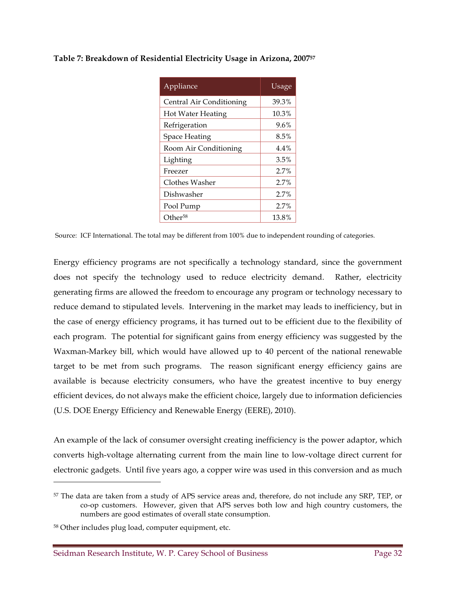| Appliance                | Usage |
|--------------------------|-------|
| Central Air Conditioning | 39.3% |
| <b>Hot Water Heating</b> | 10.3% |
| Refrigeration            | 9.6%  |
| <b>Space Heating</b>     | 8.5%  |
| Room Air Conditioning    | 4.4%  |
| Lighting                 | 3.5%  |
| Freezer                  | 2.7%  |
| Clothes Washer           | 2.7%  |
| Dishwasher               | 2.7%  |
| Pool Pump                | 2.7%  |
| Other <sup>58</sup>      | 13.8% |

#### **Table 7: Breakdown of Residential Electricity Usage in Arizona, 200757**

Source: ICF International. The total may be different from 100% due to independent rounding of categories.

Energy efficiency programs are not specifically a technology standard, since the government does not specify the technology used to reduce electricity demand. Rather, electricity generating firms are allowed the freedom to encourage any program or technology necessary to reduce demand to stipulated levels. Intervening in the market may leads to inefficiency, but in the case of energy efficiency programs, it has turned out to be efficient due to the flexibility of each program. The potential for significant gains from energy efficiency was suggested by the Waxman-Markey bill, which would have allowed up to 40 percent of the national renewable target to be met from such programs. The reason significant energy efficiency gains are available is because electricity consumers, who have the greatest incentive to buy energy efficient devices, do not always make the efficient choice, largely due to information deficiencies (U.S. DOE Energy Efficiency and Renewable Energy (EERE), 2010).

An example of the lack of consumer oversight creating inefficiency is the power adaptor, which converts high-voltage alternating current from the main line to low-voltage direct current for electronic gadgets. Until five years ago, a copper wire was used in this conversion and as much

 $\ddot{ }$ 

<sup>57</sup> The data are taken from a study of APS service areas and, therefore, do not include any SRP, TEP, or co-op customers. However, given that APS serves both low and high country customers, the numbers are good estimates of overall state consumption.

<sup>58</sup> Other includes plug load, computer equipment, etc.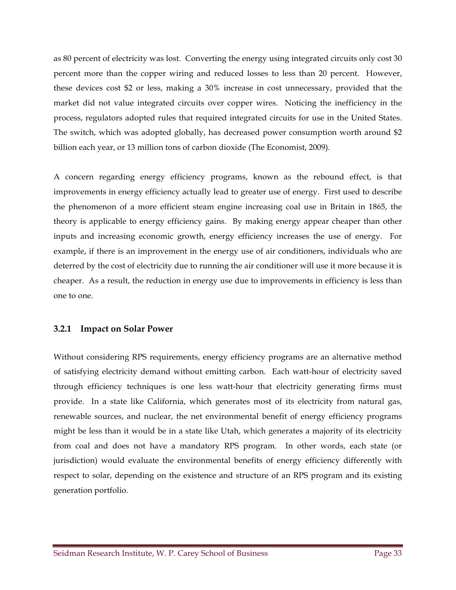as 80 percent of electricity was lost. Converting the energy using integrated circuits only cost 30 percent more than the copper wiring and reduced losses to less than 20 percent. However, these devices cost \$2 or less, making a 30% increase in cost unnecessary, provided that the market did not value integrated circuits over copper wires. Noticing the inefficiency in the process, regulators adopted rules that required integrated circuits for use in the United States. The switch, which was adopted globally, has decreased power consumption worth around \$2 billion each year, or 13 million tons of carbon dioxide (The Economist, 2009).

A concern regarding energy efficiency programs, known as the rebound effect, is that improvements in energy efficiency actually lead to greater use of energy. First used to describe the phenomenon of a more efficient steam engine increasing coal use in Britain in 1865, the theory is applicable to energy efficiency gains. By making energy appear cheaper than other inputs and increasing economic growth, energy efficiency increases the use of energy. For example, if there is an improvement in the energy use of air conditioners, individuals who are deterred by the cost of electricity due to running the air conditioner will use it more because it is cheaper. As a result, the reduction in energy use due to improvements in efficiency is less than one to one.

#### **3.2.1 Impact on Solar Power**

Without considering RPS requirements, energy efficiency programs are an alternative method of satisfying electricity demand without emitting carbon. Each watt-hour of electricity saved through efficiency techniques is one less watt-hour that electricity generating firms must provide. In a state like California, which generates most of its electricity from natural gas, renewable sources, and nuclear, the net environmental benefit of energy efficiency programs might be less than it would be in a state like Utah, which generates a majority of its electricity from coal and does not have a mandatory RPS program. In other words, each state (or jurisdiction) would evaluate the environmental benefits of energy efficiency differently with respect to solar, depending on the existence and structure of an RPS program and its existing generation portfolio.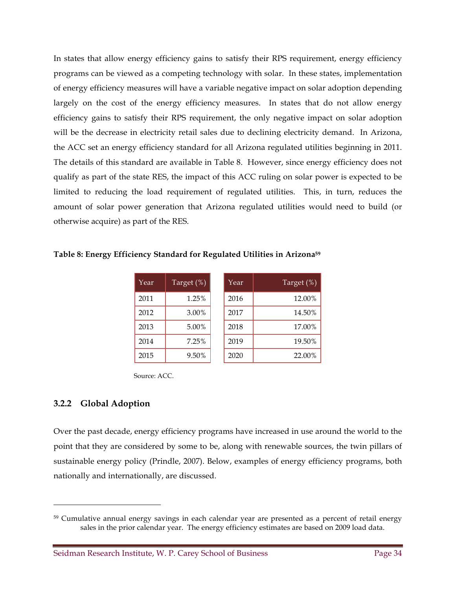In states that allow energy efficiency gains to satisfy their RPS requirement, energy efficiency programs can be viewed as a competing technology with solar. In these states, implementation of energy efficiency measures will have a variable negative impact on solar adoption depending largely on the cost of the energy efficiency measures. In states that do not allow energy efficiency gains to satisfy their RPS requirement, the only negative impact on solar adoption will be the decrease in electricity retail sales due to declining electricity demand. In Arizona, the ACC set an energy efficiency standard for all Arizona regulated utilities beginning in 2011. The details of this standard are available in Table 8. However, since energy efficiency does not qualify as part of the state RES, the impact of this ACC ruling on solar power is expected to be limited to reducing the load requirement of regulated utilities. This, in turn, reduces the amount of solar power generation that Arizona regulated utilities would need to build (or otherwise acquire) as part of the RES.

| Year | Target (%) | Year | Target (%) |
|------|------------|------|------------|
| 2011 | 1.25%      | 2016 | 12.00%     |
| 2012 | 3.00%      | 2017 | 14.50%     |
| 2013 | 5.00%      | 2018 | 17.00%     |
| 2014 | 7.25%      | 2019 | 19.50%     |
| 2015 | 9.50%      | 2020 | 22.00%     |

**Table 8: Energy Efficiency Standard for Regulated Utilities in Arizona59**

Source: ACC.

## **3.2.2 Global Adoption**

 $\overline{a}$ 

Over the past decade, energy efficiency programs have increased in use around the world to the point that they are considered by some to be, along with renewable sources, the twin pillars of sustainable energy policy (Prindle, 2007). Below, examples of energy efficiency programs, both nationally and internationally, are discussed.

<sup>59</sup> Cumulative annual energy savings in each calendar year are presented as a percent of retail energy sales in the prior calendar year. The energy efficiency estimates are based on 2009 load data.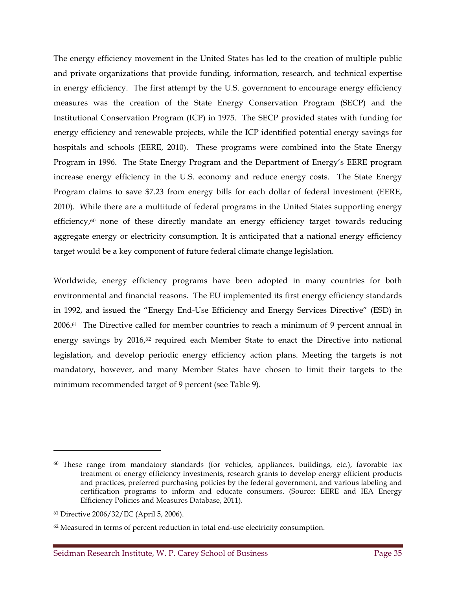The energy efficiency movement in the United States has led to the creation of multiple public and private organizations that provide funding, information, research, and technical expertise in energy efficiency. The first attempt by the U.S. government to encourage energy efficiency measures was the creation of the State Energy Conservation Program (SECP) and the Institutional Conservation Program (ICP) in 1975. The SECP provided states with funding for energy efficiency and renewable projects, while the ICP identified potential energy savings for hospitals and schools (EERE, 2010). These programs were combined into the State Energy Program in 1996. The State Energy Program and the Department of Energy's EERE program increase energy efficiency in the U.S. economy and reduce energy costs. The State Energy Program claims to save \$7.23 from energy bills for each dollar of federal investment (EERE, 2010). While there are a multitude of federal programs in the United States supporting energy efficiency,<sup>60</sup> none of these directly mandate an energy efficiency target towards reducing aggregate energy or electricity consumption. It is anticipated that a national energy efficiency target would be a key component of future federal climate change legislation.

Worldwide, energy efficiency programs have been adopted in many countries for both environmental and financial reasons. The EU implemented its first energy efficiency standards in 1992, and issued the "Energy End-Use Efficiency and Energy Services Directive" (ESD) in 2006.61 The Directive called for member countries to reach a minimum of 9 percent annual in energy savings by 2016,<sup>62</sup> required each Member State to enact the Directive into national legislation, and develop periodic energy efficiency action plans. Meeting the targets is not mandatory, however, and many Member States have chosen to limit their targets to the minimum recommended target of 9 percent (see Table 9).

1

<sup>&</sup>lt;sup>60</sup> These range from mandatory standards (for vehicles, appliances, buildings, etc.), favorable tax treatment of energy efficiency investments, research grants to develop energy efficient products and practices, preferred purchasing policies by the federal government, and various labeling and certification programs to inform and educate consumers. (Source: EERE and IEA Energy Efficiency Policies and Measures Database, 2011).

<sup>61</sup> Directive 2006/32/EC (April 5, 2006).

<sup>62</sup> Measured in terms of percent reduction in total end-use electricity consumption.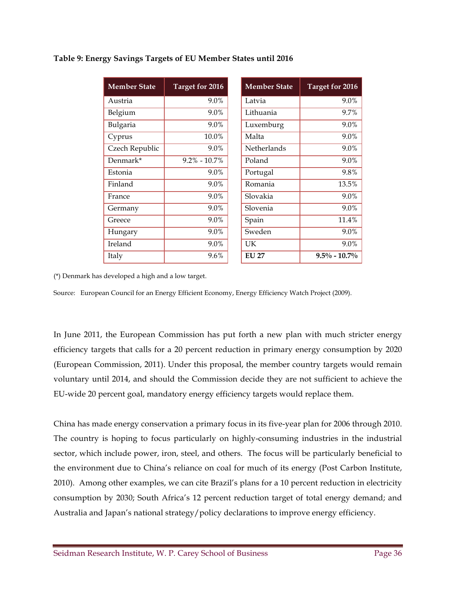| <b>Member State</b> | Target for 2016  | <b>Member State</b> | Target for 2016  |
|---------------------|------------------|---------------------|------------------|
| Austria             | 9.0%             | Latvia              | 9.0%             |
| Belgium             | 9.0%             | Lithuania           | 9.7%             |
| Bulgaria            | 9.0%             | Luxemburg           | 9.0%             |
| Cyprus              | 10.0%            | Malta               | 9.0%             |
| Czech Republic      | 9.0%             | <b>Netherlands</b>  | 9.0%             |
| Denmark*            | $9.2\% - 10.7\%$ | Poland              | 9.0%             |
| Estonia             | 9.0%             | Portugal            | 9.8%             |
| Finland             | 9.0%             | Romania             | 13.5%            |
| France              | 9.0%             | Slovakia            | 9.0%             |
| Germany             | 9.0%             | Slovenia            | 9.0%             |
| Greece              | 9.0%             | Spain               | 11.4%            |
| Hungary             | 9.0%             | Sweden              | 9.0%             |
| Ireland             | 9.0%             | UK                  | 9.0%             |
| Italy               | 9.6%             | EU 27               | $9.5\% - 10.7\%$ |

#### **Table 9: Energy Savings Targets of EU Member States until 2016**

(\*) Denmark has developed a high and a low target.

Source: European Council for an Energy Efficient Economy, Energy Efficiency Watch Project (2009).

In June 2011, the European Commission has put forth a new plan with much stricter energy efficiency targets that calls for a 20 percent reduction in primary energy consumption by 2020 (European Commission, 2011). Under this proposal, the member country targets would remain voluntary until 2014, and should the Commission decide they are not sufficient to achieve the EU-wide 20 percent goal, mandatory energy efficiency targets would replace them.

China has made energy conservation a primary focus in its five-year plan for 2006 through 2010. The country is hoping to focus particularly on highly-consuming industries in the industrial sector, which include power, iron, steel, and others. The focus will be particularly beneficial to the environment due to China's reliance on coal for much of its energy (Post Carbon Institute, 2010). Among other examples, we can cite Brazil's plans for a 10 percent reduction in electricity consumption by 2030; South Africa's 12 percent reduction target of total energy demand; and Australia and Japan's national strategy/policy declarations to improve energy efficiency.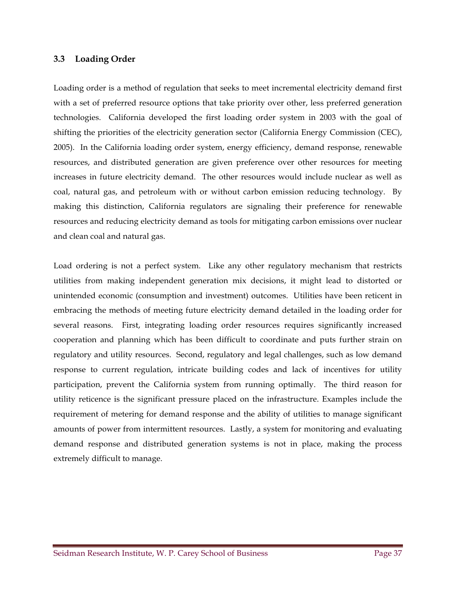### **3.3 Loading Order**

Loading order is a method of regulation that seeks to meet incremental electricity demand first with a set of preferred resource options that take priority over other, less preferred generation technologies. California developed the first loading order system in 2003 with the goal of shifting the priorities of the electricity generation sector (California Energy Commission (CEC), 2005). In the California loading order system, energy efficiency, demand response, renewable resources, and distributed generation are given preference over other resources for meeting increases in future electricity demand. The other resources would include nuclear as well as coal, natural gas, and petroleum with or without carbon emission reducing technology. By making this distinction, California regulators are signaling their preference for renewable resources and reducing electricity demand as tools for mitigating carbon emissions over nuclear and clean coal and natural gas.

Load ordering is not a perfect system. Like any other regulatory mechanism that restricts utilities from making independent generation mix decisions, it might lead to distorted or unintended economic (consumption and investment) outcomes. Utilities have been reticent in embracing the methods of meeting future electricity demand detailed in the loading order for several reasons. First, integrating loading order resources requires significantly increased cooperation and planning which has been difficult to coordinate and puts further strain on regulatory and utility resources. Second, regulatory and legal challenges, such as low demand response to current regulation, intricate building codes and lack of incentives for utility participation, prevent the California system from running optimally. The third reason for utility reticence is the significant pressure placed on the infrastructure. Examples include the requirement of metering for demand response and the ability of utilities to manage significant amounts of power from intermittent resources. Lastly, a system for monitoring and evaluating demand response and distributed generation systems is not in place, making the process extremely difficult to manage.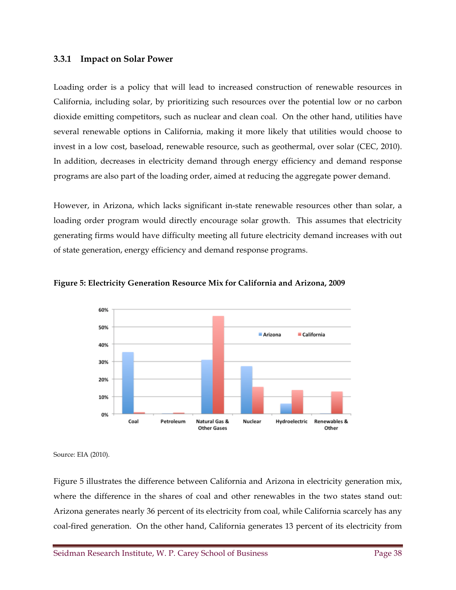#### **3.3.1 Impact on Solar Power**

Loading order is a policy that will lead to increased construction of renewable resources in California, including solar, by prioritizing such resources over the potential low or no carbon dioxide emitting competitors, such as nuclear and clean coal. On the other hand, utilities have several renewable options in California, making it more likely that utilities would choose to invest in a low cost, baseload, renewable resource, such as geothermal, over solar (CEC, 2010). In addition, decreases in electricity demand through energy efficiency and demand response programs are also part of the loading order, aimed at reducing the aggregate power demand.

However, in Arizona, which lacks significant in-state renewable resources other than solar, a loading order program would directly encourage solar growth. This assumes that electricity generating firms would have difficulty meeting all future electricity demand increases with out of state generation, energy efficiency and demand response programs.





Source: EIA (2010).

Figure 5 illustrates the difference between California and Arizona in electricity generation mix, where the difference in the shares of coal and other renewables in the two states stand out: Arizona generates nearly 36 percent of its electricity from coal, while California scarcely has any coal-fired generation. On the other hand, California generates 13 percent of its electricity from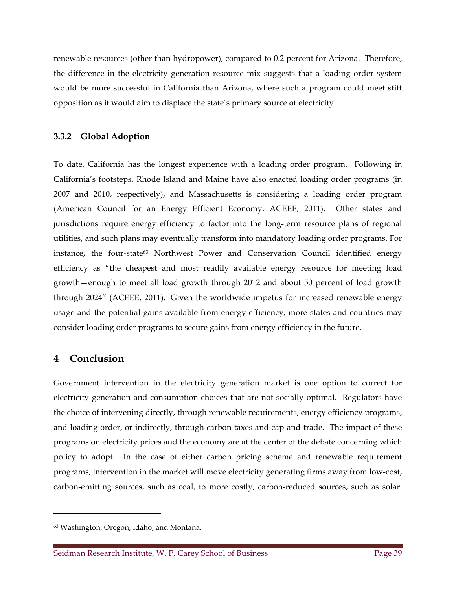renewable resources (other than hydropower), compared to 0.2 percent for Arizona. Therefore, the difference in the electricity generation resource mix suggests that a loading order system would be more successful in California than Arizona, where such a program could meet stiff opposition as it would aim to displace the state's primary source of electricity.

## **3.3.2 Global Adoption**

To date, California has the longest experience with a loading order program. Following in California's footsteps, Rhode Island and Maine have also enacted loading order programs (in 2007 and 2010, respectively), and Massachusetts is considering a loading order program (American Council for an Energy Efficient Economy, ACEEE, 2011). Other states and jurisdictions require energy efficiency to factor into the long-term resource plans of regional utilities, and such plans may eventually transform into mandatory loading order programs. For instance, the four-state<sup>63</sup> Northwest Power and Conservation Council identified energy efficiency as "the cheapest and most readily available energy resource for meeting load growth—enough to meet all load growth through 2012 and about 50 percent of load growth through 2024" (ACEEE, 2011). Given the worldwide impetus for increased renewable energy usage and the potential gains available from energy efficiency, more states and countries may consider loading order programs to secure gains from energy efficiency in the future.

## **4 Conclusion**

 $\overline{a}$ 

Government intervention in the electricity generation market is one option to correct for electricity generation and consumption choices that are not socially optimal. Regulators have the choice of intervening directly, through renewable requirements, energy efficiency programs, and loading order, or indirectly, through carbon taxes and cap-and-trade. The impact of these programs on electricity prices and the economy are at the center of the debate concerning which policy to adopt. In the case of either carbon pricing scheme and renewable requirement programs, intervention in the market will move electricity generating firms away from low-cost, carbon-emitting sources, such as coal, to more costly, carbon-reduced sources, such as solar.

<sup>63</sup> Washington, Oregon, Idaho, and Montana.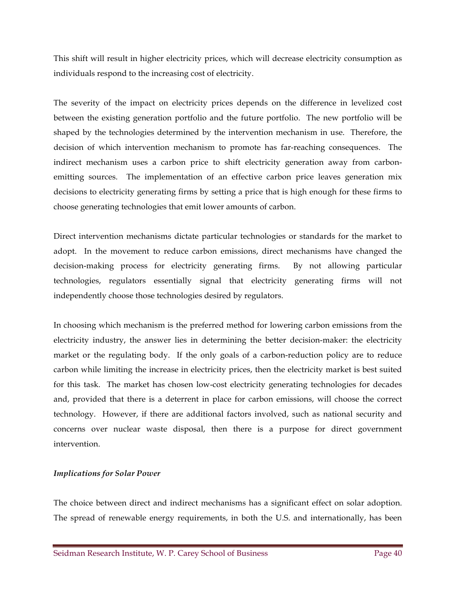This shift will result in higher electricity prices, which will decrease electricity consumption as individuals respond to the increasing cost of electricity.

The severity of the impact on electricity prices depends on the difference in levelized cost between the existing generation portfolio and the future portfolio. The new portfolio will be shaped by the technologies determined by the intervention mechanism in use. Therefore, the decision of which intervention mechanism to promote has far-reaching consequences. The indirect mechanism uses a carbon price to shift electricity generation away from carbonemitting sources. The implementation of an effective carbon price leaves generation mix decisions to electricity generating firms by setting a price that is high enough for these firms to choose generating technologies that emit lower amounts of carbon.

Direct intervention mechanisms dictate particular technologies or standards for the market to adopt. In the movement to reduce carbon emissions, direct mechanisms have changed the decision-making process for electricity generating firms. By not allowing particular technologies, regulators essentially signal that electricity generating firms will not independently choose those technologies desired by regulators.

In choosing which mechanism is the preferred method for lowering carbon emissions from the electricity industry, the answer lies in determining the better decision-maker: the electricity market or the regulating body. If the only goals of a carbon-reduction policy are to reduce carbon while limiting the increase in electricity prices, then the electricity market is best suited for this task. The market has chosen low-cost electricity generating technologies for decades and, provided that there is a deterrent in place for carbon emissions, will choose the correct technology. However, if there are additional factors involved, such as national security and concerns over nuclear waste disposal, then there is a purpose for direct government intervention.

#### *Implications for Solar Power*

The choice between direct and indirect mechanisms has a significant effect on solar adoption. The spread of renewable energy requirements, in both the U.S. and internationally, has been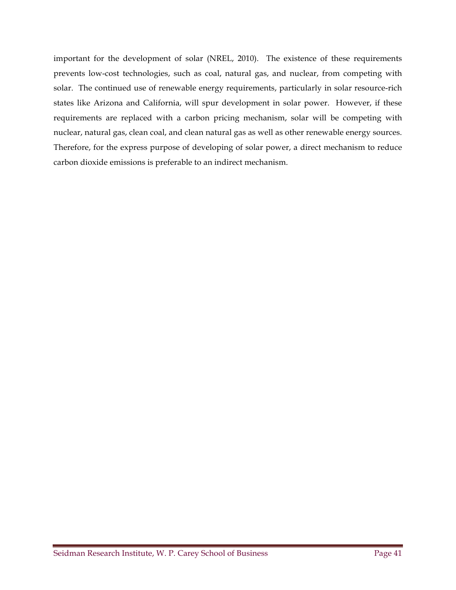important for the development of solar (NREL, 2010). The existence of these requirements prevents low-cost technologies, such as coal, natural gas, and nuclear, from competing with solar. The continued use of renewable energy requirements, particularly in solar resource-rich states like Arizona and California, will spur development in solar power. However, if these requirements are replaced with a carbon pricing mechanism, solar will be competing with nuclear, natural gas, clean coal, and clean natural gas as well as other renewable energy sources. Therefore, for the express purpose of developing of solar power, a direct mechanism to reduce carbon dioxide emissions is preferable to an indirect mechanism.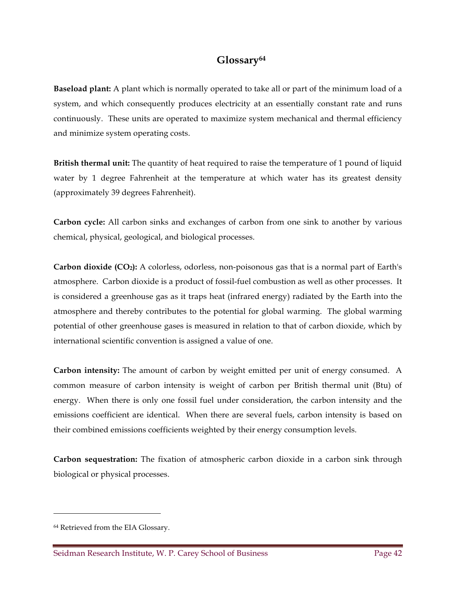## **Glossary64**

**Baseload plant:** A plant which is normally operated to take all or part of the minimum load of a system, and which consequently produces electricity at an essentially constant rate and runs continuously. These units are operated to maximize system mechanical and thermal efficiency and minimize system operating costs.

**British thermal unit:** The quantity of heat required to raise the temperature of 1 pound of liquid water by 1 degree Fahrenheit at the temperature at which water has its greatest density (approximately 39 degrees Fahrenheit).

**Carbon cycle:** All carbon sinks and exchanges of carbon from one sink to another by various chemical, physical, geological, and biological processes.

**Carbon dioxide (CO2):** A colorless, odorless, non-poisonous gas that is a normal part of Earth's atmosphere. Carbon dioxide is a product of fossil-fuel combustion as well as other processes. It is considered a greenhouse gas as it traps heat (infrared energy) radiated by the Earth into the atmosphere and thereby contributes to the potential for global warming. The global warming potential of other greenhouse gases is measured in relation to that of carbon dioxide, which by international scientific convention is assigned a value of one.

**Carbon intensity:** The amount of carbon by weight emitted per unit of energy consumed. A common measure of carbon intensity is weight of carbon per British thermal unit (Btu) of energy. When there is only one fossil fuel under consideration, the carbon intensity and the emissions coefficient are identical. When there are several fuels, carbon intensity is based on their combined emissions coefficients weighted by their energy consumption levels.

**Carbon sequestration:** The fixation of atmospheric carbon dioxide in a carbon sink through biological or physical processes.

 $\overline{a}$ 

<sup>64</sup> Retrieved from the EIA Glossary.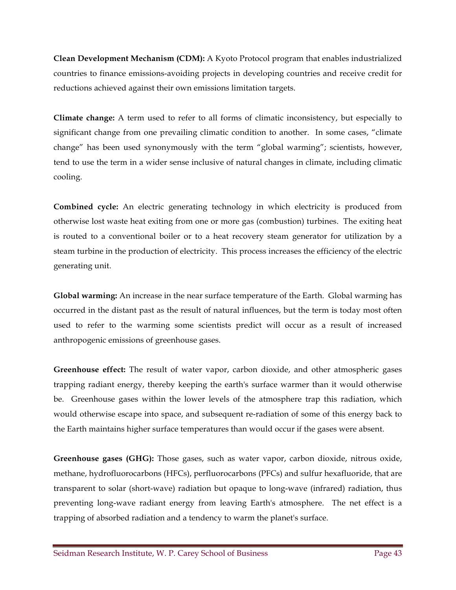**Clean Development Mechanism (CDM):** A Kyoto Protocol program that enables industrialized countries to finance emissions-avoiding projects in developing countries and receive credit for reductions achieved against their own emissions limitation targets.

**Climate change:** A term used to refer to all forms of climatic inconsistency, but especially to significant change from one prevailing climatic condition to another. In some cases, "climate change" has been used synonymously with the term "global warming"; scientists, however, tend to use the term in a wider sense inclusive of natural changes in climate, including climatic cooling.

**Combined cycle:** An electric generating technology in which electricity is produced from otherwise lost waste heat exiting from one or more gas (combustion) turbines. The exiting heat is routed to a conventional boiler or to a heat recovery steam generator for utilization by a steam turbine in the production of electricity. This process increases the efficiency of the electric generating unit.

**Global warming:** An increase in the near surface temperature of the Earth. Global warming has occurred in the distant past as the result of natural influences, but the term is today most often used to refer to the warming some scientists predict will occur as a result of increased anthropogenic emissions of greenhouse gases.

**Greenhouse effect:** The result of water vapor, carbon dioxide, and other atmospheric gases trapping radiant energy, thereby keeping the earth's surface warmer than it would otherwise be. Greenhouse gases within the lower levels of the atmosphere trap this radiation, which would otherwise escape into space, and subsequent re-radiation of some of this energy back to the Earth maintains higher surface temperatures than would occur if the gases were absent.

**Greenhouse gases (GHG):** Those gases, such as water vapor, carbon dioxide, nitrous oxide, methane, hydrofluorocarbons (HFCs), perfluorocarbons (PFCs) and sulfur hexafluoride, that are transparent to solar (short-wave) radiation but opaque to long-wave (infrared) radiation, thus preventing long-wave radiant energy from leaving Earth's atmosphere. The net effect is a trapping of absorbed radiation and a tendency to warm the planet's surface.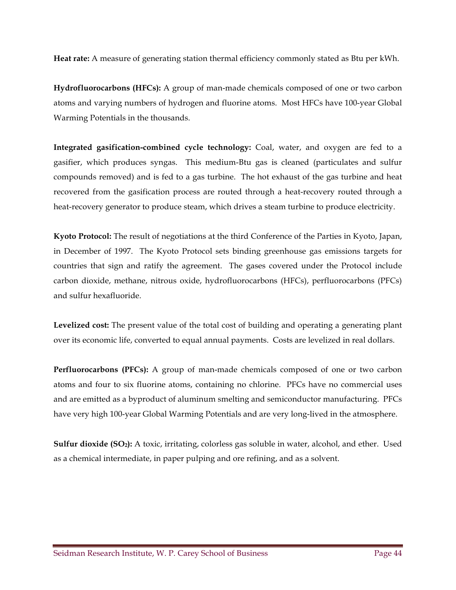**Heat rate:** A measure of generating station thermal efficiency commonly stated as Btu per kWh.

**Hydrofluorocarbons (HFCs):** A group of man-made chemicals composed of one or two carbon atoms and varying numbers of hydrogen and fluorine atoms. Most HFCs have 100-year Global Warming Potentials in the thousands.

**Integrated gasification-combined cycle technology:** Coal, water, and oxygen are fed to a gasifier, which produces syngas. This medium-Btu gas is cleaned (particulates and sulfur compounds removed) and is fed to a gas turbine. The hot exhaust of the gas turbine and heat recovered from the gasification process are routed through a heat-recovery routed through a heat-recovery generator to produce steam, which drives a steam turbine to produce electricity.

**Kyoto Protocol:** The result of negotiations at the third Conference of the Parties in Kyoto, Japan, in December of 1997. The Kyoto Protocol sets binding greenhouse gas emissions targets for countries that sign and ratify the agreement. The gases covered under the Protocol include carbon dioxide, methane, nitrous oxide, hydrofluorocarbons (HFCs), perfluorocarbons (PFCs) and sulfur hexafluoride.

Levelized cost: The present value of the total cost of building and operating a generating plant over its economic life, converted to equal annual payments. Costs are levelized in real dollars.

**Perfluorocarbons (PFCs):** A group of man-made chemicals composed of one or two carbon atoms and four to six fluorine atoms, containing no chlorine. PFCs have no commercial uses and are emitted as a byproduct of aluminum smelting and semiconductor manufacturing. PFCs have very high 100-year Global Warming Potentials and are very long-lived in the atmosphere.

**Sulfur dioxide (SO<sub>2</sub>):** A toxic, irritating, colorless gas soluble in water, alcohol, and ether. Used as a chemical intermediate, in paper pulping and ore refining, and as a solvent.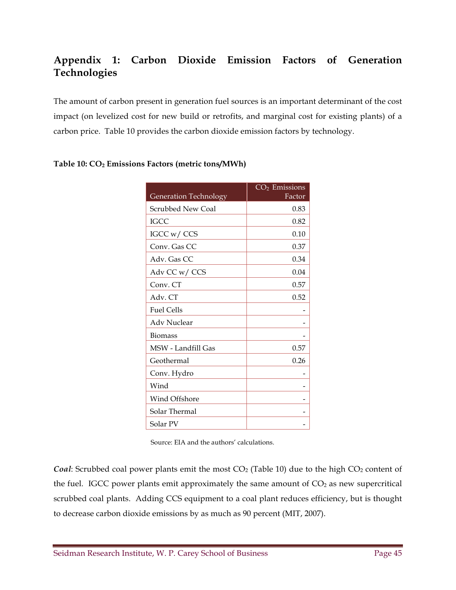## **Appendix 1: Carbon Dioxide Emission Factors of Generation Technologies**

The amount of carbon present in generation fuel sources is an important determinant of the cost impact (on levelized cost for new build or retrofits, and marginal cost for existing plants) of a carbon price. Table 10 provides the carbon dioxide emission factors by technology.

| <b>Generation Technology</b> | $CO2$ Emissions<br>Factor |
|------------------------------|---------------------------|
| <b>Scrubbed New Coal</b>     | 0.83                      |
| IGCC                         | 0.82                      |
| IGCC w / CCS                 | 0.10                      |
| Conv. Gas CC                 | 0.37                      |
| Adv. Gas CC                  | 0.34                      |
| Adv CC w/ CCS                | 0.04                      |
| Conv. CT                     | 0.57                      |
| Adv. CT                      | 0.52                      |
| <b>Fuel Cells</b>            |                           |
| Adv Nuclear                  |                           |
| <b>Biomass</b>               |                           |
| MSW - Landfill Gas           | 0.57                      |
| Geothermal                   | 0.26                      |
| Conv. Hydro                  |                           |
| Wind                         |                           |
| Wind Offshore                |                           |
| Solar Thermal                |                           |
| Solar PV                     |                           |

## **Table 10: CO2 Emissions Factors (metric tons/MWh)**

Source: EIA and the authors' calculations.

*Coal*: Scrubbed coal power plants emit the most  $CO<sub>2</sub>$  (Table 10) due to the high  $CO<sub>2</sub>$  content of the fuel. IGCC power plants emit approximately the same amount of  $CO<sub>2</sub>$  as new supercritical scrubbed coal plants. Adding CCS equipment to a coal plant reduces efficiency, but is thought to decrease carbon dioxide emissions by as much as 90 percent (MIT, 2007).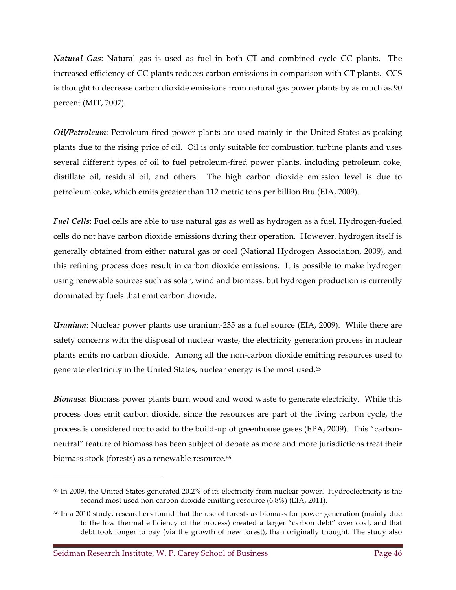*Natural Gas*: Natural gas is used as fuel in both CT and combined cycle CC plants. The increased efficiency of CC plants reduces carbon emissions in comparison with CT plants. CCS is thought to decrease carbon dioxide emissions from natural gas power plants by as much as 90 percent (MIT, 2007).

*Oil/Petroleum*: Petroleum-fired power plants are used mainly in the United States as peaking plants due to the rising price of oil. Oil is only suitable for combustion turbine plants and uses several different types of oil to fuel petroleum-fired power plants, including petroleum coke, distillate oil, residual oil, and others. The high carbon dioxide emission level is due to petroleum coke, which emits greater than 112 metric tons per billion Btu (EIA, 2009).

*Fuel Cells*: Fuel cells are able to use natural gas as well as hydrogen as a fuel. Hydrogen-fueled cells do not have carbon dioxide emissions during their operation. However, hydrogen itself is generally obtained from either natural gas or coal (National Hydrogen Association, 2009), and this refining process does result in carbon dioxide emissions. It is possible to make hydrogen using renewable sources such as solar, wind and biomass, but hydrogen production is currently dominated by fuels that emit carbon dioxide.

*Uranium*: Nuclear power plants use uranium-235 as a fuel source (EIA, 2009). While there are safety concerns with the disposal of nuclear waste, the electricity generation process in nuclear plants emits no carbon dioxide. Among all the non-carbon dioxide emitting resources used to generate electricity in the United States, nuclear energy is the most used.65

*Biomass*: Biomass power plants burn wood and wood waste to generate electricity. While this process does emit carbon dioxide, since the resources are part of the living carbon cycle, the process is considered not to add to the build-up of greenhouse gases (EPA, 2009). This "carbonneutral" feature of biomass has been subject of debate as more and more jurisdictions treat their biomass stock (forests) as a renewable resource.<sup>66</sup>

 $\ddot{ }$ 

<sup>65</sup> In 2009, the United States generated 20.2% of its electricity from nuclear power. Hydroelectricity is the second most used non-carbon dioxide emitting resource (6.8%) (EIA, 2011).

<sup>66</sup> In a 2010 study, researchers found that the use of forests as biomass for power generation (mainly due to the low thermal efficiency of the process) created a larger "carbon debt" over coal, and that debt took longer to pay (via the growth of new forest), than originally thought. The study also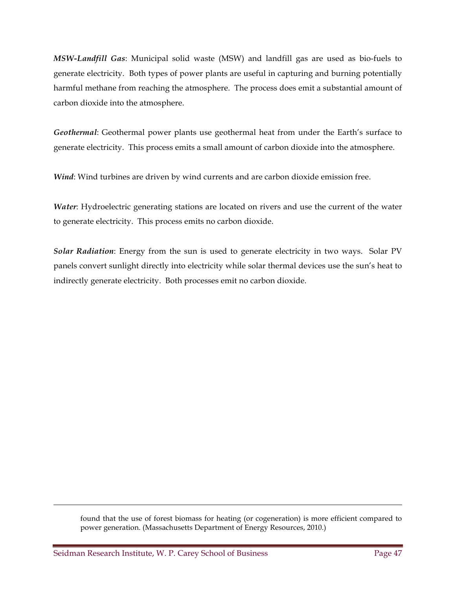*MSW-Landfill Gas*: Municipal solid waste (MSW) and landfill gas are used as bio-fuels to generate electricity. Both types of power plants are useful in capturing and burning potentially harmful methane from reaching the atmosphere. The process does emit a substantial amount of carbon dioxide into the atmosphere.

*Geothermal*: Geothermal power plants use geothermal heat from under the Earth's surface to generate electricity. This process emits a small amount of carbon dioxide into the atmosphere.

*Wind*: Wind turbines are driven by wind currents and are carbon dioxide emission free.

*Water*: Hydroelectric generating stations are located on rivers and use the current of the water to generate electricity. This process emits no carbon dioxide.

*Solar Radiation*: Energy from the sun is used to generate electricity in two ways. Solar PV panels convert sunlight directly into electricity while solar thermal devices use the sun's heat to indirectly generate electricity. Both processes emit no carbon dioxide.

found that the use of forest biomass for heating (or cogeneration) is more efficient compared to power generation. (Massachusetts Department of Energy Resources, 2010.)

 $\overline{a}$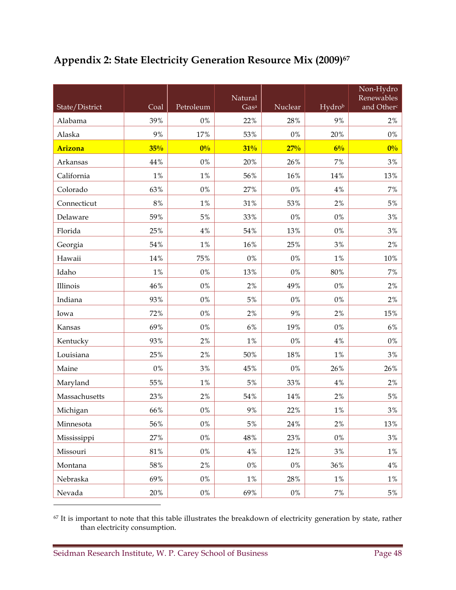## **Appendix 2: State Electricity Generation Resource Mix (2009)67**

|                |       |           | Natural  |         |          | Non-Hydro<br>Renewables |
|----------------|-------|-----------|----------|---------|----------|-------------------------|
| State/District | Coal  | Petroleum | Gasa     | Nuclear | Hydrob   | and Other <sup>c</sup>  |
| Alabama        | 39%   | $0\%$     | 22%      | 28%     | 9%       | 2%                      |
| Alaska         | 9%    | 17%       | 53%      | $0\%$   | 20%      | $0\%$                   |
| <b>Arizona</b> | 35%   | $0\%$     | 31%      | 27%     | $6\%$    | $0\%$                   |
| Arkansas       | 44%   | $0\%$     | 20%      | 26%     | $7\%$    | $3%$                    |
| California     | $1\%$ | $1\%$     | 56%      | 16%     | 14%      | 13%                     |
| Colorado       | 63%   | $0\%$     | 27%      | $0\%$   | $4\%$    | 7%                      |
| Connecticut    | $8\%$ | $1\%$     | 31%      | 53%     | 2%       | 5%                      |
| Delaware       | 59%   | $5\%$     | 33%      | $0\%$   | $0\%$    | $3%$                    |
| Florida        | 25%   | $4\%$     | 54%      | 13%     | $0\%$    | $3%$                    |
| Georgia        | 54%   | $1\%$     | 16%      | 25%     | 3%       | 2%                      |
| Hawaii         | 14%   | 75%       | $0\%$    | $0\%$   | 1%       | 10%                     |
| Idaho          | $1\%$ | $0\%$     | 13%      | $0\%$   | $80\%$   | 7%                      |
| Illinois       | 46%   | $0\%$     | 2%       | 49%     | $0\%$    | 2%                      |
| Indiana        | 93%   | $0\%$     | $5%$     | $0\%$   | $0\%$    | 2%                      |
| Iowa           | 72%   | $0\%$     | 2%       | 9%      | 2%       | 15%                     |
| Kansas         | 69%   | $0\%$     | 6%       | 19%     | $0\%$    | 6%                      |
| Kentucky       | 93%   | 2%        | $1\%$    | $0\%$   | $4\, \%$ | $0\%$                   |
| Louisiana      | 25%   | 2%        | 50%      | 18%     | $1\%$    | $3%$                    |
| Maine          | $0\%$ | $3\, \%$  | 45%      | $0\%$   | 26%      | 26%                     |
| Maryland       | 55%   | $1\%$     | $5\%$    | 33%     | 4%       | 2%                      |
| Massachusetts  | 23%   | $2\%$     | 54%      | 14%     | $2\%$    | $5\%$                   |
| Michigan       | 66%   | $0\%$     | $9%$     | 22%     | $1\%$    | $3\%$                   |
| Minnesota      | 56%   | $0\%$     | 5%       | 24%     | $2\%$    | $13\%$                  |
| Mississippi    | 27%   | $0\%$     | 48%      | 23%     | $0\%$    | $3\%$                   |
| Missouri       | 81%   | $0\%$     | $4\, \%$ | 12%     | 3%       | $1\%$                   |
| Montana        | 58%   | 2%        | $0\%$    | $0\%$   | 36%      | $4\%$                   |
| Nebraska       | 69%   | $0\%$     | $1\%$    | 28%     | $1\%$    | $1\%$                   |
| Nevada         | 20%   | $0\%$     | 69%      | $0\%$   | $7\%$    | $5\%$                   |

<sup>67</sup> It is important to note that this table illustrates the breakdown of electricity generation by state, rather than electricity consumption.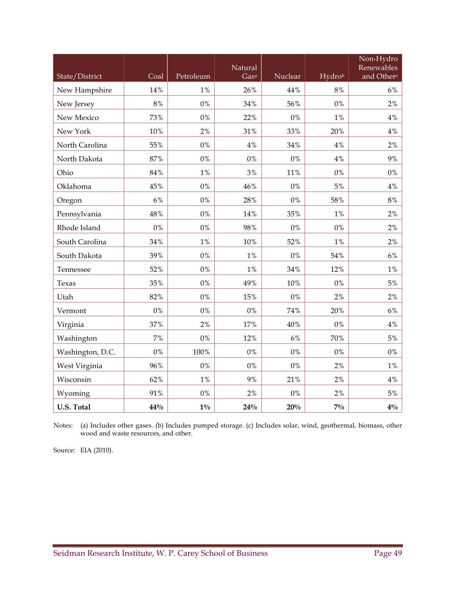|                  |                            |                                      | Natural |         |        | Non-Hydro<br>Renewables |
|------------------|----------------------------|--------------------------------------|---------|---------|--------|-------------------------|
| State/District   | $\overline{\mathrm{Coal}}$ | Petroleum                            | Gasa    | Nuclear | Hydrob | and Other <sup>c</sup>  |
| New Hampshire    | 14%                        | $1\%$                                | 26%     | 44%     | $8\%$  | 6%                      |
| New Jersey       | 8%                         | $0\%$                                | 34%     | 56%     | $0\%$  | 2%                      |
| New Mexico       | 73%                        | $0\%$                                | 22%     | 0%      | 1%     | $4\%$                   |
| New York         | 10%                        | 2%                                   | 31%     | 33%     | 20%    | $4\%$                   |
| North Carolina   | 55%                        | $0\%$                                | 4%      | 34%     | $4\%$  | 2%                      |
| North Dakota     | 87%                        | $0\%$                                | $0\%$   | $0\%$   | 4%     | 9%                      |
| Ohio             | 84%                        | 1%                                   | 3%      | 11%     | $0\%$  | $0\%$                   |
| Oklahoma         | 45%                        | $0\%$                                | 46%     | $0\%$   | 5%     | $4\%$                   |
| Oregon           | $6\%$                      | $0\%$                                | 28%     | $0\%$   | 58%    | $8\%$                   |
| Pennsylvania     | 48%                        | $0\%$                                | 14%     | 35%     | 1%     | 2%                      |
| Rhode Island     | $0\%$                      | $0\%$                                | 98%     | 0%      | $0\%$  | 2%                      |
| South Carolina   | 34%                        | $1\%$                                | 10%     | 52%     | $1\%$  | 2%                      |
| South Dakota     | 39%                        | $0\%$                                | 1%      | $0\%$   | 54%    | $6\%$                   |
| Tennessee        | 52%                        | $0\%$                                | 1%      | 34%     | 12%    | $1\%$                   |
| Texas            | 35%                        | $0\%$                                | 49%     | 10%     | $0\%$  | $5\%$                   |
| Utah             | 82%                        | $0\%$                                | 15%     | $0\%$   | 2%     | 2%                      |
| Vermont          | $0\%$                      | $0\%$                                | $0\%$   | 74%     | 20%    | $6\%$                   |
| Virginia         | 37%                        | 2%                                   | 17%     | 40%     | 0%     | $4\%$                   |
| Washington       | 7%                         | $0\%$                                | 12%     | 6%      | 70%    | $5\%$                   |
| Washington, D.C. | $0\%$                      | 100%                                 | $0\%$   | $0\%$   | $0\%$  | $0\%$                   |
| West Virginia    | 96%                        | $0\%$                                | $0\%$   | 0%      | 2%     | $1\%$                   |
| Wisconsin        | 62%                        | 1%                                   | 9%      | 21%     | 2%     | $4\%$                   |
| Wyoming          | 91%                        | $0\%$                                | 2%      | 0%      | 2%     | $5\%$                   |
| U.S. Total       | 44%                        | $\mathbf{1}^{0}\!/\!{}_{\mathbf{0}}$ | 24%     | 20%     | $7\%$  | $4\%$                   |

Notes: (a) Includes other gases. (b) Includes pumped storage. (c) Includes solar, wind, geothermal, biomass, other wood and waste resources, and other.

Source: EIA (2010).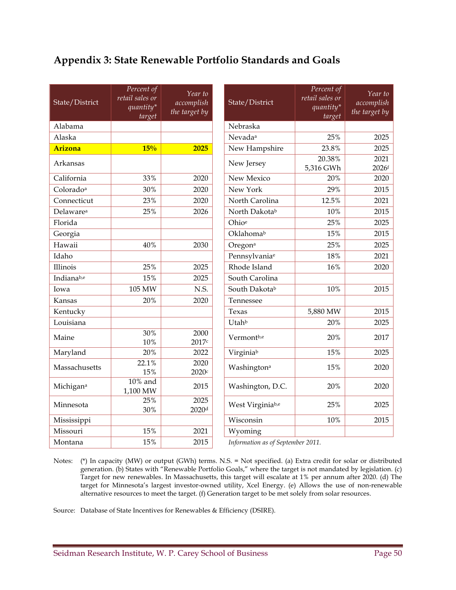## **Appendix 3: State Renewable Portfolio Standards and Goals**

| State/District        | Percent of<br>retail sales or<br>quantity*<br>target | Year to<br>accomplish<br>the target by | State/District                    | Percent of<br>retail sales or<br>quantity*<br>target | Year to<br>accomplish<br>the target by |
|-----------------------|------------------------------------------------------|----------------------------------------|-----------------------------------|------------------------------------------------------|----------------------------------------|
| Alabama               |                                                      |                                        | Nebraska                          |                                                      |                                        |
| Alaska                |                                                      |                                        | Nevada <sup>a</sup>               | 25%                                                  | 2025                                   |
| <b>Arizona</b>        | 15%                                                  | 2025                                   | New Hampshire                     | 23.8%                                                | 2025                                   |
| Arkansas              |                                                      |                                        | New Jersey                        | 20.38%                                               | 2021                                   |
|                       |                                                      |                                        |                                   | 5,316 GWh                                            | 2026 <sup>f</sup>                      |
| California            | 33%                                                  | 2020                                   | New Mexico                        | 20%                                                  | 2020                                   |
| Colorado <sup>a</sup> | 30%                                                  | 2020                                   | New York                          | 29%                                                  | 2015                                   |
| Connecticut           | 23%                                                  | 2020                                   | North Carolina                    | 12.5%                                                | 2021                                   |
| Delaware <sup>a</sup> | 25%                                                  | 2026                                   | North Dakotab                     | 10%                                                  | 2015                                   |
| Florida               |                                                      |                                        | Ohioe                             | 25%                                                  | 2025                                   |
| Georgia               |                                                      |                                        | Oklahomab                         | 15%                                                  | 2015                                   |
| Hawaii                | 40%                                                  | 2030                                   | Oregon <sup>a</sup>               | 25%                                                  | 2025                                   |
| Idaho                 |                                                      |                                        | Pennsylvania <sup>e</sup>         | 18%                                                  | 2021                                   |
| Illinois              | 25%                                                  | 2025                                   | Rhode Island                      | 16%                                                  | 2020                                   |
| Indianab,e            | 15%                                                  | 2025                                   | South Carolina                    |                                                      |                                        |
| Iowa                  | 105 MW                                               | N.S.                                   | South Dakotab                     | 10%                                                  | 2015                                   |
| Kansas                | 20%                                                  | 2020                                   | Tennessee                         |                                                      |                                        |
| Kentucky              |                                                      |                                        | Texas                             | 5,880 MW                                             | 2015                                   |
| Louisiana             |                                                      |                                        | Utahb                             | 20%                                                  | 2025                                   |
| Maine                 | 30%<br>10%                                           | 2000<br>2017c                          | Vermontb,e                        | 20%                                                  | 2017                                   |
| Maryland              | 20%                                                  | 2022                                   | Virginiab                         | 15%                                                  | 2025                                   |
| Massachusetts         | 22.1%<br>15%                                         | 2020<br>2020c                          | Washington <sup>a</sup>           | 15%                                                  | 2020                                   |
| Michigan <sup>a</sup> | $10\%$ and<br>1,100 MW                               | 2015                                   | Washington, D.C.                  | 20%                                                  | 2020                                   |
| Minnesota             | 25%<br>30%                                           | 2025<br>2020 <sup>d</sup>              | West Virginiab,e                  | 25%                                                  | 2025                                   |
| Mississippi           |                                                      |                                        | Wisconsin                         | 10%                                                  | 2015                                   |
| Missouri              | 15%                                                  | 2021                                   | Wyoming                           |                                                      |                                        |
| Montana               | 15%                                                  | 2015                                   | Information as of September 2011. |                                                      |                                        |

Notes: (\*) In capacity (MW) or output (GWh) terms. N.S. = Not specified. (a) Extra credit for solar or distributed generation. (b) States with "Renewable Portfolio Goals," where the target is not mandated by legislation. (c) Target for new renewables. In Massachusetts, this target will escalate at 1% per annum after 2020. (d) The target for Minnesota's largest investor-owned utility, Xcel Energy. (e) Allows the use of non-renewable alternative resources to meet the target. (f) Generation target to be met solely from solar resources.

Source: Database of State Incentives for Renewables & Efficiency (DSIRE).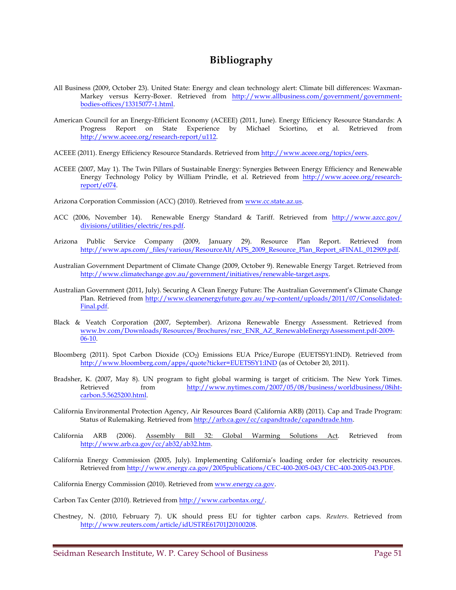## **Bibliography**

- All Business (2009, October 23). United State: Energy and clean technology alert: Climate bill differences: Waxman-Markey versus Kerry-Boxer. Retrieved from http://www.allbusiness.com/government/governmentbodies-offices/13315077-1.html.
- American Council for an Energy-Efficient Economy (ACEEE) (2011, June). Energy Efficiency Resource Standards: A Progress Report on State Experience by Michael Sciortino, et al. Retrieved from http://www.aceee.org/research-report/u112.
- ACEEE (2011). Energy Efficiency Resource Standards. Retrieved from http://www.aceee.org/topics/eers.
- ACEEE (2007, May 1). The Twin Pillars of Sustainable Energy: Synergies Between Energy Efficiency and Renewable Energy Technology Policy by William Prindle, et al. Retrieved from http://www.aceee.org/researchreport/e074.

Arizona Corporation Commission (ACC) (2010). Retrieved from www.cc.state.az.us.

- ACC (2006, November 14). Renewable Energy Standard & Tariff. Retrieved from http://www.azcc.gov/ divisions/utilities/electric/res.pdf.
- Arizona Public Service Company (2009, January 29). Resource Plan Report. Retrieved from http://www.aps.com/\_files/various/ResourceAlt/APS\_2009\_Resource\_Plan\_Report\_sFINAL\_012909.pdf.
- Australian Government Department of Climate Change (2009, October 9). Renewable Energy Target. Retrieved from http://www.climatechange.gov.au/government/initiatives/renewable-target.aspx.
- Australian Government (2011, July). Securing A Clean Energy Future: The Australian Government's Climate Change Plan. Retrieved from http://www.cleanenergyfuture.gov.au/wp-content/uploads/2011/07/Consolidated-Final.pdf.
- Black & Veatch Corporation (2007, September). Arizona Renewable Energy Assessment. Retrieved from www.bv.com/Downloads/Resources/Brochures/rsrc\_ENR\_AZ\_RenewableEnergyAssessment.pdf-2009- 06-10.
- Bloomberg (2011). Spot Carbon Dioxide (CO<sub>2</sub>) Emissions EUA Price/Europe (EUETSSY1:IND). Retrieved from http://www.bloomberg.com/apps/quote?ticker=EUETSSY1:IND (as of October 20, 2011).
- Bradsher, K. (2007, May 8). UN program to fight global warming is target of criticism. The New York Times. Retrieved from http://www.nytimes.com/2007/05/08/business/worldbusiness/08ihtcarbon.5.5625200.html.
- California Environmental Protection Agency, Air Resources Board (California ARB) (2011). Cap and Trade Program: Status of Rulemaking. Retrieved from http://arb.ca.gov/cc/capandtrade/capandtrade.htm.
- California ARB (2006). Assembly Bill 32: Global Warming Solutions Act. Retrieved from http://www.arb.ca.gov/cc/ab32/ab32.htm.
- California Energy Commission (2005, July). Implementing California's loading order for electricity resources. Retrieved from http://www.energy.ca.gov/2005publications/CEC-400-2005-043/CEC-400-2005-043.PDF.

California Energy Commission (2010). Retrieved from www.energy.ca.gov.

Carbon Tax Center (2010). Retrieved from http://www.carbontax.org/.

Chestney, N. (2010, February 7). UK should press EU for tighter carbon caps. *Reuters*. Retrieved from http://www.reuters.com/article/idUSTRE61701J20100208.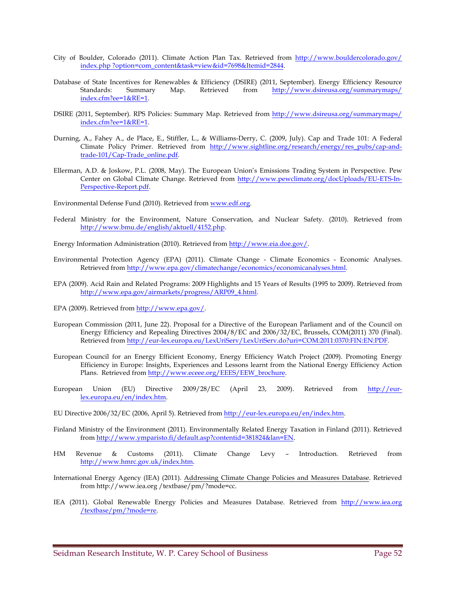- City of Boulder, Colorado (2011). Climate Action Plan Tax. Retrieved from http://www.bouldercolorado.gov/ index.php ?option=com\_content&task=view&id=7698&Itemid=2844.
- Database of State Incentives for Renewables & Efficiency (DSIRE) (2011, September). Energy Efficiency Resource Standards: Summary Map. Retrieved from http://www.dsireusa.org/summarymaps/ index.cfm?ee=1&RE=1.
- DSIRE (2011, September). RPS Policies: Summary Map. Retrieved from http://www.dsireusa.org/summarymaps/ index.cfm?ee=1&RE=1.
- Durning, A., Fahey A., de Place, E., Stiffler, L., & Williams-Derry, C. (2009, July). Cap and Trade 101: A Federal Climate Policy Primer. Retrieved from http://www.sightline.org/research/energy/res\_pubs/cap-andtrade-101/Cap-Trade\_online.pdf.
- Ellerman, A.D. & Joskow, P.L. (2008, May). The European Union's Emissions Trading System in Perspective. Pew Center on Global Climate Change. Retrieved from http://www.pewclimate.org/docUploads/EU-ETS-In-Perspective-Report.pdf.

Environmental Defense Fund (2010). Retrieved from www.edf.org.

Federal Ministry for the Environment, Nature Conservation, and Nuclear Safety. (2010). Retrieved from http://www.bmu.de/english/aktuell/4152.php.

Energy Information Administration (2010). Retrieved from http://www.eia.doe.gov/.

- Environmental Protection Agency (EPA) (2011). Climate Change Climate Economics Economic Analyses. Retrieved from http://www.epa.gov/climatechange/economics/economicanalyses.html.
- EPA (2009). Acid Rain and Related Programs: 2009 Highlights and 15 Years of Results (1995 to 2009). Retrieved from http://www.epa.gov/airmarkets/progress/ARP09\_4.html.
- EPA (2009). Retrieved from http://www.epa.gov/.
- European Commission (2011, June 22). Proposal for a Directive of the European Parliament and of the Council on Energy Efficiency and Repealing Directives 2004/8/EC and 2006/32/EC, Brussels, COM(2011) 370 (Final). Retrieved from http://eur-lex.europa.eu/LexUriServ/LexUriServ.do?uri=COM:2011:0370:FIN:EN:PDF.
- European Council for an Energy Efficient Economy, Energy Efficiency Watch Project (2009). Promoting Energy Efficiency in Europe: Insights, Experiences and Lessons learnt from the National Energy Efficiency Action Plans. Retrieved from http://www.eceee.org/EEES/EEW\_brochure.
- European Union (EU) Directive 2009/28/EC (April 23, 2009). Retrieved from http://eurlex.europa.eu/en/index.htm.
- EU Directive 2006/32/EC (2006, April 5). Retrieved from http://eur-lex.europa.eu/en/index.htm.
- Finland Ministry of the Environment (2011). Environmentally Related Energy Taxation in Finland (2011). Retrieved from http://www.ymparisto.fi/default.asp?contentid=381824&lan=EN.
- HM Revenue & Customs (2011). Climate Change Levy Introduction. Retrieved from http://www.hmrc.gov.uk/index.htm.
- International Energy Agency (IEA) (2011). Addressing Climate Change Policies and Measures Database. Retrieved from http://www.iea.org /textbase/pm/?mode=cc.
- IEA (2011). Global Renewable Energy Policies and Measures Database. Retrieved from http://www.iea.org /textbase/pm/?mode=re.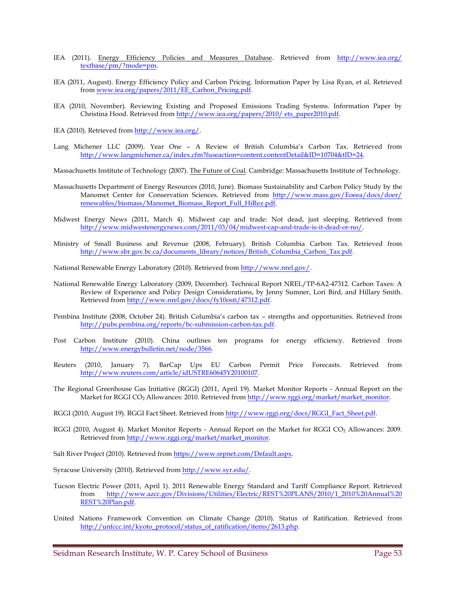- IEA (2011). Energy Efficiency Policies and Measures Database. Retrieved from http://www.iea.org/ textbase/pm/?mode=pm.
- IEA (2011, August). Energy Efficiency Policy and Carbon Pricing. Information Paper by Lisa Ryan, et al. Retrieved from www.iea.org/papers/2011/EE\_Carbon\_Pricing.pdf.
- IEA (2010, November). Reviewing Existing and Proposed Emissions Trading Systems. Information Paper by Christina Hood. Retrieved from http://www.iea.org/papers/2010/ ets\_paper2010.pdf.
- IEA (2010). Retrieved from http://www.iea.org/.
- Lang Michener LLC (2009). Year One A Review of British Columbia's Carbon Tax. Retrieved from http://www.langmichener.ca/index.cfm?fuseaction=content.contentDetail&ID=10704&tID=24.
- Massachusetts Institute of Technology (2007). The Future of Coal. Cambridge: Massachusetts Institute of Technology.
- Massachusetts Department of Energy Resources (2010, June). Biomass Sustainability and Carbon Policy Study by the Manomet Center for Conservation Sciences. Retrieved from http://www.mass.gov/Eoeea/docs/doer/ renewables/biomass/Manomet\_Biomass\_Report\_Full\_HiRez.pdf.
- Midwest Energy News (2011, March 4). Midwest cap and trade: Not dead, just sleeping. Retrieved from http://www.midwestenergynews.com/2011/03/04/midwest-cap-and-trade-is-it-dead-or-no/.
- Ministry of Small Business and Revenue (2008, February). British Columbia Carbon Tax. Retrieved from http://www.sbr.gov.bc.ca/documents\_library/notices/British\_Columbia\_Carbon\_Tax.pdf.
- National Renewable Energy Laboratory (2010). Retrieved from http://www.nrel.gov/.
- National Renewable Energy Laboratory (2009, December). Technical Report NREL/TP-6A2-47312. Carbon Taxes: A Review of Experience and Policy Design Considerations, by Jenny Sumner, Lori Bird, and Hillary Smith. Retrieved from http://www.nrel.gov/docs/fy10osti/47312.pdf.
- Pembina Institute (2008, October 24). British Columbia's carbon tax strengths and opportunities. Retrieved from http://pubs.pembina.org/reports/bc-submission-carbon-tax.pdf.
- Post Carbon Institute (2010). China outlines ten programs for energy efficiency. Retrieved from http://www.energybulletin.net/node/3566.
- Reuters (2010, January 7). BarCap Ups EU Carbon Permit Price Forecasts. Retrieved from http://www.reuters.com/article/idUSTRE60645Y20100107.
- The Regional Greenhouse Gas Initiative (RGGI) (2011, April 19). Market Monitor Reports Annual Report on the Market for RGGI CO<sub>2</sub> Allowances: 2010. Retrieved from http://www.rggi.org/market/market\_monitor.
- RGGI (2010, August 19). RGGI Fact Sheet. Retrieved from http://www.rggi.org/docs/RGGI\_Fact\_Sheet.pdf.
- RGGI (2010, August 4). Market Monitor Reports Annual Report on the Market for RGGI CO<sub>2</sub> Allowances: 2009. Retrieved from http://www.rggi.org/market/market\_monitor.

Salt River Project (2010). Retrieved from https://www.srpnet.com/Default.aspx.

Syracuse University (2010). Retrieved from http://www.syr.edu/.

- Tucson Electric Power (2011, April 1). 2011 Renewable Energy Standard and Tariff Compliance Report. Retrieved from http://www.azcc.gov/Divisions/Utilities/Electric/REST%20PLANS/2010/1\_2010%20Annual%20 REST%20Plan.pdf.
- United Nations Framework Convention on Climate Change (2010). Status of Ratification*.* Retrieved from http://unfccc.int/kyoto\_protocol/status\_of\_ratification/items/2613.php.